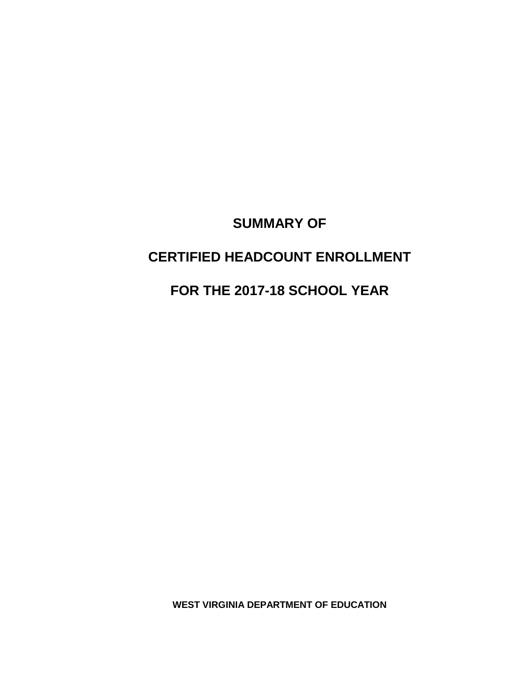# **SUMMARY OF**

# **CERTIFIED HEADCOUNT ENROLLMENT**

# **FOR THE 2017-18 SCHOOL YEAR**

**WEST VIRGINIA DEPARTMENT OF EDUCATION**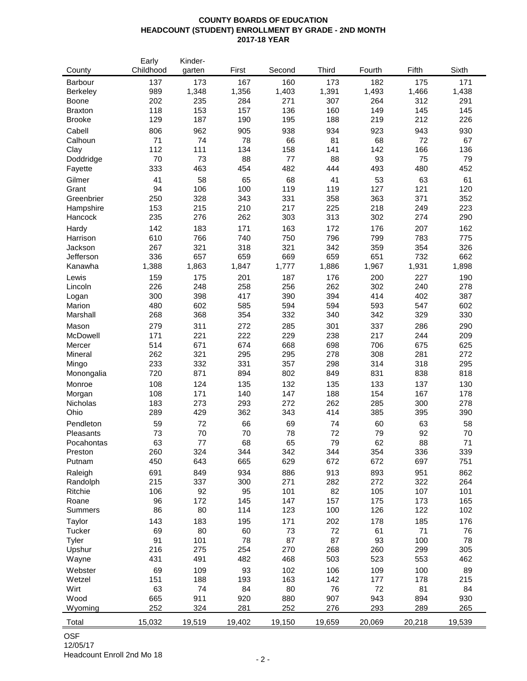### **COUNTY BOARDS OF EDUCATION HEADCOUNT (STUDENT) ENROLLMENT BY GRADE - 2ND MONTH 2017-18 YEAR**

|                 | Early     | Kinder- |        |         |              |        |        |        |
|-----------------|-----------|---------|--------|---------|--------------|--------|--------|--------|
| County          | Childhood | garten  | First  | Second  | <b>Third</b> | Fourth | Fifth  | Sixth  |
| Barbour         | 137       | 173     | 167    | 160     | 173          | 182    | 175    | 171    |
| <b>Berkeley</b> | 989       | 1,348   | 1,356  | 1,403   | 1,391        | 1,493  | 1,466  | 1,438  |
| Boone           | 202       | 235     | 284    | 271     | 307          | 264    | 312    | 291    |
| <b>Braxton</b>  | 118       | 153     | 157    | 136     | 160          | 149    | 145    | 145    |
|                 | 129       | 187     | 190    | 195     | 188          | 219    | 212    | 226    |
| <b>Brooke</b>   |           |         |        |         |              |        |        |        |
| Cabell          | 806       | 962     | 905    | 938     | 934          | 923    | 943    | 930    |
| Calhoun         | 71        | 74      | 78     | 66      | 81           | 68     | 72     | 67     |
| Clay            | 112       | 111     | 134    | 158     | 141          | 142    | 166    | 136    |
| Doddridge       | 70        | 73      | 88     | $77 \,$ | 88           | 93     | 75     | 79     |
| Fayette         | 333       | 463     | 454    | 482     | 444          | 493    | 480    | 452    |
| Gilmer          | 41        | 58      | 65     | 68      | 41           | 53     | 63     | 61     |
| Grant           | 94        | 106     | 100    | 119     | 119          | 127    | 121    | 120    |
| Greenbrier      | 250       | 328     | 343    | 331     | 358          | 363    | 371    | 352    |
| Hampshire       | 153       | 215     | 210    | 217     | 225          | 218    | 249    | 223    |
| Hancock         | 235       | 276     | 262    | 303     | 313          | 302    | 274    | 290    |
|                 |           |         |        |         |              |        |        |        |
| Hardy           | 142       | 183     | 171    | 163     | 172          | 176    | 207    | 162    |
| Harrison        | 610       | 766     | 740    | 750     | 796          | 799    | 783    | 775    |
| Jackson         | 267       | 321     | 318    | 321     | 342          | 359    | 354    | 326    |
| Jefferson       | 336       | 657     | 659    | 669     | 659          | 651    | 732    | 662    |
| Kanawha         | 1,388     | 1,863   | 1,847  | 1,777   | 1,886        | 1,967  | 1,931  | 1,898  |
| Lewis           | 159       | 175     | 201    | 187     | 176          | 200    | 227    | 190    |
| Lincoln         | 226       | 248     | 258    | 256     | 262          | 302    | 240    | 278    |
| Logan           | 300       | 398     | 417    | 390     | 394          | 414    | 402    | 387    |
| Marion          | 480       | 602     | 585    | 594     | 594          | 593    | 547    | 602    |
| Marshall        | 268       | 368     | 354    | 332     | 340          | 342    | 329    | 330    |
|                 |           |         |        |         |              |        |        |        |
| Mason           | 279       | 311     | 272    | 285     | 301          | 337    | 286    | 290    |
| McDowell        | 171       | 221     | 222    | 229     | 238          | 217    | 244    | 209    |
| Mercer          | 514       | 671     | 674    | 668     | 698          | 706    | 675    | 625    |
| Mineral         | 262       | 321     | 295    | 295     | 278          | 308    | 281    | 272    |
| Mingo           | 233       | 332     | 331    | 357     | 298          | 314    | 318    | 295    |
| Monongalia      | 720       | 871     | 894    | 802     | 849          | 831    | 838    | 818    |
| Monroe          | 108       | 124     | 135    | 132     | 135          | 133    | 137    | 130    |
| Morgan          | 108       | 171     | 140    | 147     | 188          | 154    | 167    | 178    |
| Nicholas        | 183       | 273     | 293    | 272     | 262          | 285    | 300    | 278    |
| Ohio            | 289       | 429     | 362    | 343     | 414          | 385    | 395    | 390    |
|                 |           |         |        |         |              |        |        |        |
| Pendleton       | 59        | 72      | 66     | 69      | 74           | 60     | 63     | 58     |
| Pleasants       | 73        | 70      | 70     | 78      | 72           | 79     | 92     | 70     |
| Pocahontas      | 63        | 77      | 68     | 65      | 79           | 62     | 88     | 71     |
| Preston         | 260       | 324     | 344    | 342     | 344          | 354    | 336    | 339    |
| Putnam          | 450       | 643     | 665    | 629     | 672          | 672    | 697    | 751    |
| Raleigh         | 691       | 849     | 934    | 886     | 913          | 893    | 951    | 862    |
| Randolph        | 215       | 337     | 300    | 271     | 282          | 272    | 322    | 264    |
| Ritchie         | 106       | 92      | 95     | 101     | 82           | 105    | 107    | 101    |
| Roane           | 96        | 172     | 145    | 147     | 157          | 175    | 173    | 165    |
| Summers         | 86        | 80      | 114    | 123     | 100          | 126    | 122    | 102    |
|                 |           |         |        |         |              |        |        |        |
| Taylor          | 143       | 183     | 195    | 171     | 202          | 178    | 185    | 176    |
| Tucker          | 69        | 80      | 60     | 73      | 72           | 61     | 71     | 76     |
| Tyler           | 91        | 101     | 78     | 87      | 87           | 93     | 100    | 78     |
| Upshur          | 216       | 275     | 254    | 270     | 268          | 260    | 299    | 305    |
| Wayne           | 431       | 491     | 482    | 468     | 503          | 523    | 553    | 462    |
| Webster         | 69        | 109     | 93     | 102     | 106          | 109    | 100    | 89     |
| Wetzel          | 151       | 188     | 193    | 163     | 142          | 177    | 178    | 215    |
| Wirt            | 63        | 74      | 84     | 80      | 76           | 72     | 81     | 84     |
| Wood            | 665       | 911     | 920    | 880     | 907          | 943    | 894    | 930    |
| Wyoming         | 252       | 324     | 281    | 252     | 276          | 293    | 289    | 265    |
|                 |           |         |        |         |              |        |        |        |
| Total           | 15,032    | 19,519  | 19,402 | 19,150  | 19,659       | 20,069 | 20,218 | 19,539 |

OSF

12/05/17 Headcount Enroll 2nd Mo 18 - 2 -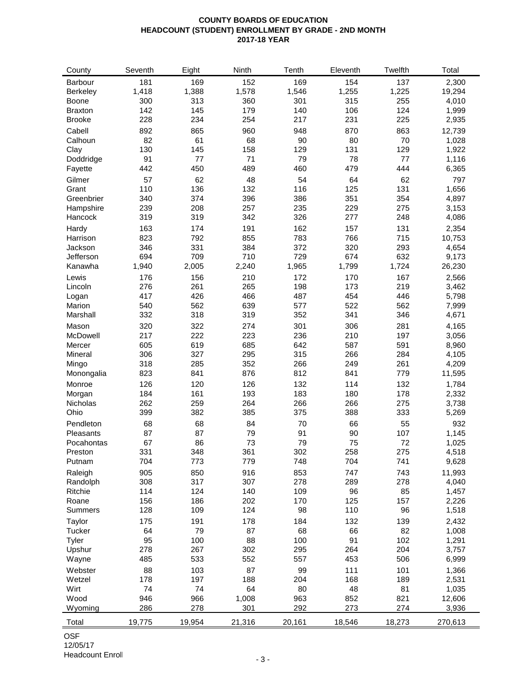### **COUNTY BOARDS OF EDUCATION HEADCOUNT (STUDENT) ENROLLMENT BY GRADE - 2ND MONTH 2017-18 YEAR**

| County         | Seventh | Eight  | Ninth  | Tenth  | Eleventh | Twelfth | Total          |
|----------------|---------|--------|--------|--------|----------|---------|----------------|
| Barbour        | 181     | 169    | 152    | 169    | 154      | 137     | 2,300          |
| Berkeley       | 1,418   | 1,388  | 1,578  | 1,546  | 1,255    | 1,225   | 19,294         |
| Boone          | 300     | 313    | 360    | 301    | 315      | 255     | 4,010          |
| <b>Braxton</b> | 142     | 145    | 179    | 140    | 106      | 124     | 1,999          |
| <b>Brooke</b>  | 228     | 234    | 254    | 217    | 231      | 225     | 2,935          |
| Cabell         | 892     | 865    | 960    | 948    | 870      | 863     | 12,739         |
|                | 82      | 61     | 68     | 90     | 80       | 70      |                |
| Calhoun        | 130     | 145    | 158    |        | 131      | 129     | 1,028<br>1,922 |
| Clay           |         |        |        | 129    |          |         |                |
| Doddridge      | 91      | 77     | 71     | 79     | 78       | 77      | 1,116          |
| Fayette        | 442     | 450    | 489    | 460    | 479      | 444     | 6,365          |
| Gilmer         | 57      | 62     | 48     | 54     | 64       | 62      | 797            |
| Grant          | 110     | 136    | 132    | 116    | 125      | 131     | 1,656          |
| Greenbrier     | 340     | 374    | 396    | 386    | 351      | 354     | 4,897          |
| Hampshire      | 239     | 208    | 257    | 235    | 229      | 275     | 3,153          |
| Hancock        | 319     | 319    | 342    | 326    | 277      | 248     | 4,086          |
| Hardy          | 163     | 174    | 191    | 162    | 157      | 131     | 2,354          |
| Harrison       | 823     | 792    | 855    | 783    | 766      | 715     | 10,753         |
| Jackson        | 346     | 331    | 384    | 372    | 320      | 293     | 4,654          |
| Jefferson      | 694     | 709    | 710    | 729    | 674      | 632     | 9,173          |
| Kanawha        | 1,940   | 2,005  | 2,240  | 1,965  | 1,799    | 1,724   | 26,230         |
| Lewis          | 176     | 156    | 210    | 172    | 170      | 167     | 2,566          |
| Lincoln        | 276     | 261    | 265    | 198    | 173      | 219     | 3,462          |
| Logan          | 417     | 426    | 466    | 487    | 454      | 446     | 5,798          |
| Marion         | 540     | 562    | 639    | 577    | 522      | 562     | 7,999          |
| Marshall       | 332     | 318    | 319    | 352    | 341      | 346     | 4,671          |
|                |         |        |        |        |          |         |                |
| Mason          | 320     | 322    | 274    | 301    | 306      | 281     | 4,165          |
| McDowell       | 217     | 222    | 223    | 236    | 210      | 197     | 3,056          |
| Mercer         | 605     | 619    | 685    | 642    | 587      | 591     | 8,960          |
| Mineral        | 306     | 327    | 295    | 315    | 266      | 284     | 4,105          |
| Mingo          | 318     | 285    | 352    | 266    | 249      | 261     | 4,209          |
| Monongalia     | 823     | 841    | 876    | 812    | 841      | 779     | 11,595         |
| Monroe         | 126     | 120    | 126    | 132    | 114      | 132     | 1,784          |
| Morgan         | 184     | 161    | 193    | 183    | 180      | 178     | 2,332          |
| Nicholas       | 262     | 259    | 264    | 266    | 266      | 275     | 3,738          |
| Ohio           | 399     | 382    | 385    | 375    | 388      | 333     | 5,269          |
| Pendleton      | 68      | 68     | 84     | 70     | 66       | 55      | 932            |
| Pleasants      | 87      | 87     | 79     | 91     | 90       | 107     | 1,145          |
| Pocahontas     | 67      | 86     | 73     | 79     | 75       | 72      | 1,025          |
| Preston        | 331     | 348    | 361    | 302    | 258      | 275     | 4,518          |
| Putnam         | 704     | 773    | 779    | 748    | 704      | 741     | 9,628          |
| Raleigh        | 905     | 850    | 916    | 853    | 747      | 743     | 11,993         |
| Randolph       | 308     | 317    | 307    | 278    | 289      | 278     | 4,040          |
| Ritchie        | 114     | 124    | 140    | 109    | 96       | 85      | 1,457          |
| Roane          | 156     | 186    | 202    | 170    | 125      | 157     | 2,226          |
| <b>Summers</b> | 128     | 109    | 124    | 98     | 110      | 96      | 1,518          |
|                |         |        |        |        |          |         |                |
| Taylor         | 175     | 191    | 178    | 184    | 132      | 139     | 2,432          |
| Tucker         | 64      | 79     | 87     | 68     | 66       | 82      | 1,008          |
| Tyler          | 95      | 100    | 88     | 100    | 91       | 102     | 1,291          |
| Upshur         | 278     | 267    | 302    | 295    | 264      | 204     | 3,757          |
| Wayne          | 485     | 533    | 552    | 557    | 453      | 506     | 6,999          |
| Webster        | 88      | 103    | 87     | 99     | 111      | 101     | 1,366          |
| Wetzel         | 178     | 197    | 188    | 204    | 168      | 189     | 2,531          |
| Wirt           | 74      | 74     | 64     | 80     | 48       | 81      | 1,035          |
| Wood           | 946     | 966    | 1,008  | 963    | 852      | 821     | 12,606         |
| Wyoming        | 286     | 278    | 301    | 292    | 273      | 274     | 3,936          |
|                |         |        |        |        |          |         |                |
| Total          | 19,775  | 19,954 | 21,316 | 20,161 | 18,546   | 18,273  | 270,613        |

OSF 12/05/17 Headcount Enroll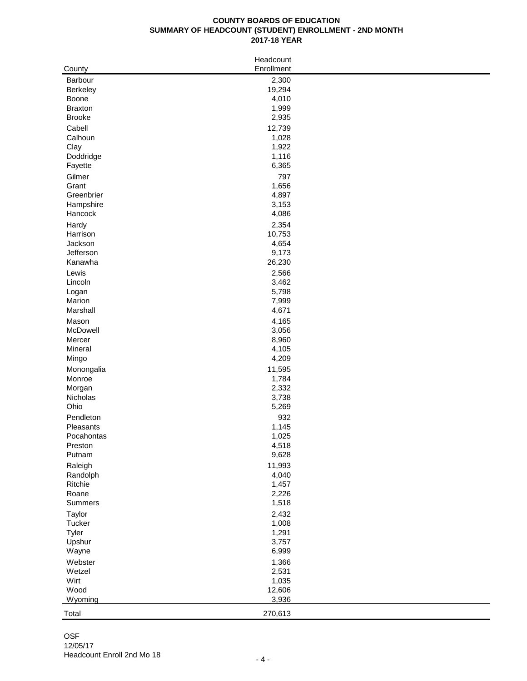### **COUNTY BOARDS OF EDUCATION SUMMARY OF HEADCOUNT (STUDENT) ENROLLMENT - 2ND MONTH 2017-18 YEAR**

| County             | Headcount<br>Enrollment |  |
|--------------------|-------------------------|--|
| Barbour            | 2,300                   |  |
| Berkeley           | 19,294                  |  |
| Boone              | 4,010                   |  |
| <b>Braxton</b>     | 1,999                   |  |
| <b>Brooke</b>      | 2,935                   |  |
| Cabell             | 12,739                  |  |
| Calhoun            | 1,028                   |  |
| Clay               | 1,922                   |  |
| Doddridge          | 1,116                   |  |
| Fayette            | 6,365                   |  |
| Gilmer             | 797                     |  |
| Grant              | 1,656                   |  |
| Greenbrier         | 4,897                   |  |
| Hampshire          | 3,153                   |  |
| Hancock            | 4,086                   |  |
| Hardy              | 2,354                   |  |
| Harrison           | 10,753                  |  |
| Jackson            | 4,654                   |  |
| Jefferson          | 9,173                   |  |
| Kanawha            | 26,230                  |  |
| Lewis              | 2,566                   |  |
| Lincoln            | 3,462                   |  |
| Logan              | 5,798                   |  |
| Marion<br>Marshall | 7,999<br>4,671          |  |
|                    |                         |  |
| Mason<br>McDowell  | 4,165<br>3,056          |  |
| Mercer             | 8,960                   |  |
| Mineral            | 4,105                   |  |
| Mingo              | 4,209                   |  |
| Monongalia         | 11,595                  |  |
| Monroe             | 1,784                   |  |
| Morgan             | 2,332                   |  |
| Nicholas           | 3,738                   |  |
| Ohio               | 5,269                   |  |
| Pendleton          | 932                     |  |
| Pleasants          | 1,145                   |  |
| Pocahontas         | 1,025                   |  |
| Preston            | 4,518                   |  |
| Putnam             | 9,628                   |  |
| Raleigh            | 11,993                  |  |
| Randolph           | 4,040                   |  |
| Ritchie            | 1,457                   |  |
| Roane              | 2,226                   |  |
| Summers            | 1,518                   |  |
| Taylor             | 2,432                   |  |
| Tucker             | 1,008                   |  |
| <b>Tyler</b>       | 1,291                   |  |
| Upshur             | 3,757                   |  |
| Wayne              | 6,999                   |  |
| Webster            | 1,366                   |  |
| Wetzel             | 2,531                   |  |
| Wirt<br>Wood       | 1,035                   |  |
| Wyoming            | 12,606<br>3,936         |  |
|                    |                         |  |
| Total              | 270,613                 |  |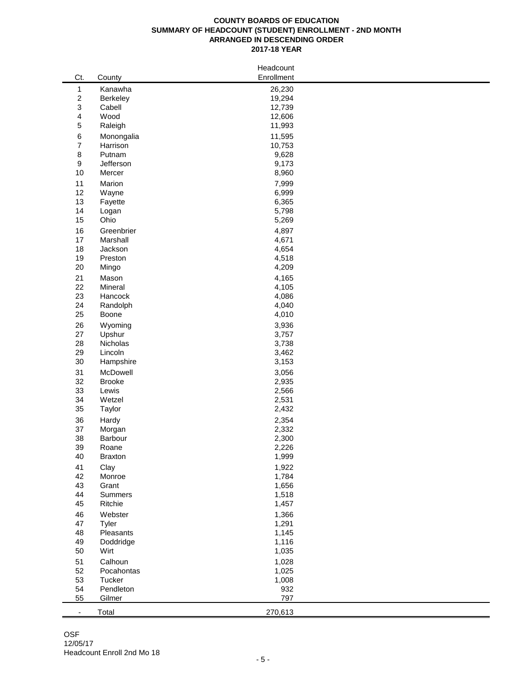#### **COUNTY BOARDS OF EDUCATION SUMMARY OF HEADCOUNT (STUDENT) ENROLLMENT - 2ND MONTH ARRANGED IN DESCENDING ORDER 2017-18 YEAR**

|                          |               | Headcount  |  |
|--------------------------|---------------|------------|--|
| Ct.                      | County        | Enrollment |  |
| $\mathbf{1}$             | Kanawha       | 26,230     |  |
| $\sqrt{2}$               | Berkeley      | 19,294     |  |
| 3                        | Cabell        | 12,739     |  |
| 4                        | Wood          | 12,606     |  |
| $\mathbf 5$              | Raleigh       | 11,993     |  |
|                          |               |            |  |
| $\,6\,$                  | Monongalia    | 11,595     |  |
| $\boldsymbol{7}$         | Harrison      | 10,753     |  |
| $\,8\,$                  | Putnam        | 9,628      |  |
| $\boldsymbol{9}$         | Jefferson     | 9,173      |  |
| 10                       | Mercer        | 8,960      |  |
| 11                       | Marion        | 7,999      |  |
| 12                       | Wayne         | 6,999      |  |
| 13                       | Fayette       | 6,365      |  |
| 14                       | Logan         | 5,798      |  |
| 15                       | Ohio          | 5,269      |  |
| 16                       | Greenbrier    | 4,897      |  |
| 17                       | Marshall      | 4,671      |  |
| 18                       | Jackson       | 4,654      |  |
| 19                       | Preston       | 4,518      |  |
| 20                       |               |            |  |
|                          | Mingo         | 4,209      |  |
| 21                       | Mason         | 4,165      |  |
| 22                       | Mineral       | 4,105      |  |
| 23                       | Hancock       | 4,086      |  |
| 24                       | Randolph      | 4,040      |  |
| 25                       | Boone         | 4,010      |  |
| 26                       | Wyoming       | 3,936      |  |
| 27                       | Upshur        | 3,757      |  |
| 28                       | Nicholas      | 3,738      |  |
| 29                       | Lincoln       | 3,462      |  |
| 30                       | Hampshire     | 3,153      |  |
|                          |               |            |  |
| 31                       | McDowell      | 3,056      |  |
| 32                       | <b>Brooke</b> | 2,935      |  |
| 33                       | Lewis         | 2,566      |  |
| 34                       | Wetzel        | 2,531      |  |
| 35                       | Taylor        | 2,432      |  |
| 36                       | Hardy         | 2,354      |  |
| 37                       | Morgan        | 2,332      |  |
| 38                       | Barbour       | 2,300      |  |
| 39                       | Roane         | 2,226      |  |
| 40                       | Braxton       | 1,999      |  |
| 41                       | Clay          | 1,922      |  |
| 42                       | Monroe        | 1,784      |  |
| 43                       | Grant         | 1,656      |  |
|                          |               |            |  |
| 44                       | Summers       | 1,518      |  |
| 45                       | Ritchie       | 1,457      |  |
| 46                       | Webster       | 1,366      |  |
| 47                       | Tyler         | 1,291      |  |
| 48                       | Pleasants     | 1,145      |  |
| 49                       | Doddridge     | 1,116      |  |
| 50                       | Wirt          | 1,035      |  |
| 51                       | Calhoun       | 1,028      |  |
| 52                       | Pocahontas    | 1,025      |  |
| 53                       | Tucker        | 1,008      |  |
| 54                       | Pendleton     | 932        |  |
| 55                       | Gilmer        | 797        |  |
|                          |               |            |  |
| $\overline{\phantom{a}}$ | Total         | 270,613    |  |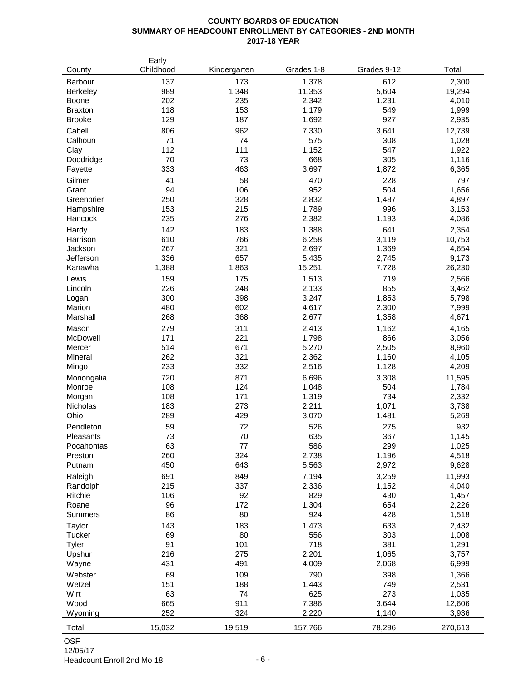#### **COUNTY BOARDS OF EDUCATION SUMMARY OF HEADCOUNT ENROLLMENT BY CATEGORIES - 2ND MONTH 2017-18 YEAR**

| County          | Early<br>Childhood | Kindergarten | Grades 1-8   | Grades 9-12  | Total           |
|-----------------|--------------------|--------------|--------------|--------------|-----------------|
| Barbour         | 137                | 173          | 1,378        | 612          | 2,300           |
| <b>Berkeley</b> | 989                | 1,348        | 11,353       | 5,604        | 19,294          |
| <b>Boone</b>    | 202                | 235          | 2,342        | 1,231        | 4,010           |
| <b>Braxton</b>  | 118                | 153          | 1,179        | 549          | 1,999           |
| <b>Brooke</b>   | 129                | 187          | 1,692        | 927          | 2,935           |
| Cabell          | 806                | 962          | 7,330        | 3,641        | 12,739          |
| Calhoun         | 71                 | 74           | 575          | 308          | 1,028           |
| Clay            | 112                | 111          | 1,152        | 547          | 1,922           |
| Doddridge       | 70                 | 73           | 668          | 305          | 1,116           |
| Fayette         | 333                | 463          | 3,697        | 1,872        | 6,365           |
| Gilmer          | 41                 | 58           | 470          | 228          | 797             |
| Grant           | 94                 | 106          | 952          | 504          | 1,656           |
| Greenbrier      | 250                | 328          | 2,832        | 1,487        | 4,897           |
| Hampshire       | 153                | 215          | 1,789        | 996          | 3,153           |
| Hancock         | 235                | 276          | 2,382        | 1,193        | 4,086           |
| Hardy           | 142                | 183          | 1,388        | 641          | 2,354           |
| Harrison        | 610                | 766          | 6,258        | 3,119        | 10,753          |
| Jackson         | 267                | 321          | 2,697        | 1,369        | 4,654           |
| Jefferson       | 336                | 657          | 5,435        | 2,745        | 9,173           |
| Kanawha         | 1,388              | 1,863        | 15,251       | 7,728        | 26,230          |
| Lewis           | 159                | 175          | 1,513        | 719          | 2,566           |
| Lincoln         | 226                | 248          | 2,133        | 855          | 3,462           |
| Logan           | 300                | 398          | 3,247        | 1,853        | 5,798           |
| Marion          | 480                | 602          | 4,617        | 2,300        | 7,999           |
| Marshall        | 268                | 368          | 2,677        | 1,358        | 4,671           |
| Mason           | 279                | 311          | 2,413        | 1,162        | 4,165           |
| McDowell        | 171                | 221          | 1,798        | 866          | 3,056           |
| Mercer          | 514                | 671          | 5,270        | 2,505        | 8,960           |
| Mineral         | 262                | 321          | 2,362        | 1,160        | 4,105           |
| Mingo           | 233                | 332          | 2,516        | 1,128        | 4,209           |
| Monongalia      | 720                | 871          | 6,696        | 3,308        | 11,595          |
| Monroe          | 108                | 124          | 1,048        | 504          | 1,784           |
| Morgan          | 108                | 171          | 1,319        | 734          | 2,332           |
| Nicholas        | 183                | 273          | 2,211        | 1,071        | 3,738           |
| Ohio            | 289                | 429          | 3,070        | 1,481        | 5,269           |
| Pendleton       | 59                 | 72           | 526          | 275          | 932             |
| Pleasants       | 73                 | 70           | 635          | 367          | 1,145           |
| Pocahontas      | 63                 | 77           | 586          | 299          | 1,025           |
| Preston         | 260                | 324          | 2,738        | 1,196        | 4,518           |
| Putnam          | 450                | 643          | 5,563        | 2,972        | 9,628           |
| Raleigh         | 691                | 849          | 7,194        | 3,259        | 11,993          |
| Randolph        | 215                | 337          | 2,336        | 1,152        | 4,040           |
| Ritchie         | 106                | 92           | 829          | 430          | 1,457           |
| Roane           | 96                 | 172          | 1,304        | 654          | 2,226           |
| <b>Summers</b>  | 86                 | 80           | 924          | 428          | 1,518           |
| Taylor          | 143                | 183          | 1,473        | 633          | 2,432           |
| Tucker          | 69                 | 80           | 556          | 303          | 1,008           |
| Tyler<br>Upshur | 91<br>216          | 101<br>275   | 718<br>2,201 | 381<br>1,065 | 1,291<br>3,757  |
|                 | 431                | 491          |              |              |                 |
| Wayne           |                    |              | 4,009        | 2,068        | 6,999           |
| Webster         | 69                 | 109          | 790          | 398          | 1,366           |
| Wetzel          | 151                | 188          | 1,443        | 749          | 2,531           |
| Wirt<br>Wood    | 63<br>665          | 74<br>911    | 625<br>7,386 | 273<br>3,644 | 1,035<br>12,606 |
| Wyoming         | 252                | 324          | 2,220        | 1,140        | 3,936           |
|                 |                    |              |              |              |                 |
| Total           | 15,032             | 19,519       | 157,766      | 78,296       | 270,613         |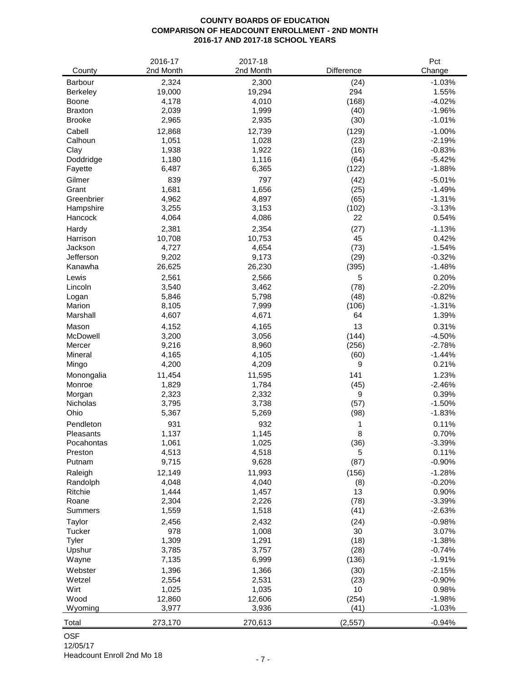# **COUNTY BOARDS OF EDUCATION COMPARISON OF HEADCOUNT ENROLLMENT - 2ND MONTH 2016-17 AND 2017-18 SCHOOL YEARS**

|                   | 2016-17        | 2017-18        |               | Pct                  |
|-------------------|----------------|----------------|---------------|----------------------|
| County            | 2nd Month      | 2nd Month      | Difference    | Change               |
| <b>Barbour</b>    | 2,324          | 2,300          | (24)          | $-1.03%$             |
| <b>Berkeley</b>   | 19,000         | 19,294         | 294           | 1.55%                |
| Boone             | 4,178          | 4,010          | (168)         | $-4.02%$             |
| <b>Braxton</b>    | 2,039          | 1,999          | (40)          | $-1.96%$             |
| <b>Brooke</b>     | 2,965          | 2,935          | (30)          | $-1.01%$             |
| Cabell            | 12,868         | 12,739         | (129)         | $-1.00%$             |
| Calhoun           | 1,051          | 1,028          | (23)          | $-2.19%$             |
| Clay              | 1,938          | 1,922          | (16)          | $-0.83%$             |
| Doddridge         | 1,180          | 1,116          | (64)          | $-5.42%$             |
| Fayette           | 6,487          | 6,365          | (122)         | $-1.88%$             |
| Gilmer            | 839            | 797            | (42)          | $-5.01%$             |
| Grant             | 1,681          | 1,656          | (25)          | $-1.49%$             |
| Greenbrier        | 4,962          | 4,897          | (65)          | $-1.31%$             |
| Hampshire         | 3,255          | 3,153          | (102)         | $-3.13%$             |
| Hancock           | 4,064          | 4,086          | 22            | 0.54%                |
| Hardy             | 2,381          | 2,354          | (27)          | $-1.13%$             |
| Harrison          | 10,708         | 10,753         | 45            | 0.42%                |
| Jackson           | 4,727          | 4,654          | (73)          | $-1.54%$             |
| Jefferson         | 9,202          | 9,173          | (29)          | $-0.32%$             |
| Kanawha           | 26,625         | 26,230         | (395)         | $-1.48%$             |
| Lewis             | 2,561          | 2,566          | 5             | 0.20%                |
| Lincoln           | 3,540          | 3,462          | (78)          | $-2.20%$             |
| Logan             | 5,846          | 5,798          | (48)          | $-0.82%$             |
| Marion            | 8,105          | 7,999          | (106)         | $-1.31%$             |
| Marshall          | 4,607          | 4,671          | 64            | 1.39%                |
| Mason             | 4,152          | 4,165          | 13            | 0.31%                |
| McDowell          | 3,200<br>9,216 | 3,056          | (144)         | $-4.50%$             |
| Mercer<br>Mineral | 4,165          | 8,960<br>4,105 | (256)<br>(60) | $-2.78%$<br>$-1.44%$ |
| Mingo             | 4,200          | 4,209          | 9             | 0.21%                |
| Monongalia        | 11,454         | 11,595         | 141           | 1.23%                |
| Monroe            | 1,829          | 1,784          | (45)          | $-2.46%$             |
| Morgan            | 2,323          | 2,332          | 9             | 0.39%                |
| Nicholas          | 3,795          | 3,738          | (57)          | $-1.50%$             |
| Ohio              | 5,367          | 5,269          | (98)          | $-1.83%$             |
| Pendleton         | 931            | 932            | 1             | 0.11%                |
| Pleasants         | 1,137          | 1,145          | 8             | 0.70%                |
| Pocahontas        | 1,061          | 1,025          | (36)          | $-3.39%$             |
| Preston           | 4,513          | 4,518          | 5             | 0.11%                |
| Putnam            | 9,715          | 9,628          | (87)          | $-0.90%$             |
| Raleigh           | 12,149         | 11,993         | (156)         | $-1.28%$             |
| Randolph          | 4,048          | 4,040          | (8)           | $-0.20%$             |
| Ritchie           | 1,444          | 1,457          | 13            | 0.90%                |
| Roane             | 2,304          | 2,226          | (78)          | $-3.39%$             |
| <b>Summers</b>    | 1,559          | 1,518          | (41)          | $-2.63%$             |
| Taylor            | 2,456          | 2,432          | (24)          | $-0.98%$             |
| Tucker            | 978            | 1,008          | 30            | 3.07%                |
| Tyler             | 1,309          | 1,291          | (18)          | $-1.38%$             |
| Upshur            | 3,785          | 3,757          | (28)          | $-0.74%$             |
| Wayne             | 7,135          | 6,999          | (136)         | $-1.91%$             |
| Webster           | 1,396          | 1,366          | (30)          | $-2.15%$             |
| Wetzel            | 2,554          | 2,531          | (23)          | $-0.90%$             |
| Wirt              | 1,025          | 1,035          | 10            | 0.98%                |
| Wood              | 12,860         | 12,606         | (254)         | $-1.98%$             |
| Wyoming           | 3,977          | 3,936          | (41)          | $-1.03%$             |
| Total             | 273,170        | 270,613        | (2, 557)      | $-0.94%$             |

# OSF

12/05/17 Headcount Enroll 2nd Mo 18 - 7 -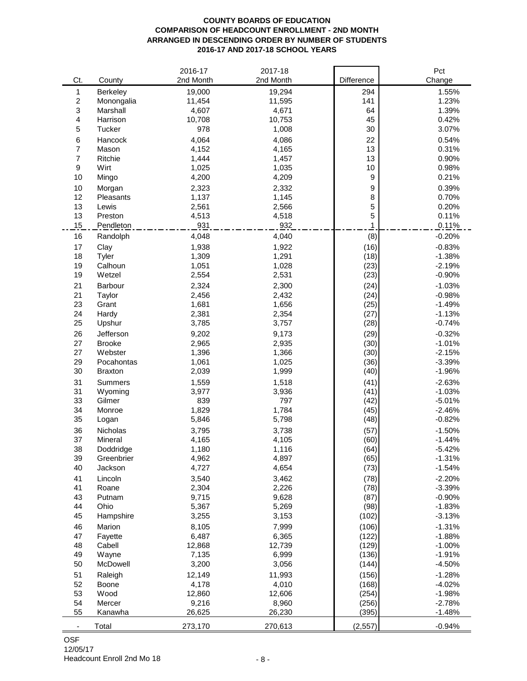#### **COUNTY BOARDS OF EDUCATION COMPARISON OF HEADCOUNT ENROLLMENT - 2ND MONTH ARRANGED IN DESCENDING ORDER BY NUMBER OF STUDENTS 2016-17 AND 2017-18 SCHOOL YEARS**

|                          |                       | 2016-17        | 2017-18        |                  | Pct                  |
|--------------------------|-----------------------|----------------|----------------|------------------|----------------------|
| Ct.                      | County                | 2nd Month      | 2nd Month      | Difference       | Change               |
| 1                        | Berkeley              | 19,000         | 19,294         | 294              | 1.55%                |
| $\overline{c}$           | Monongalia            | 11,454         | 11,595         | 141              | 1.23%                |
| 3                        | Marshall              | 4,607          | 4,671          | 64               | 1.39%                |
| 4                        | Harrison              | 10,708         | 10,753         | 45               | 0.42%                |
| 5                        | Tucker                | 978            | 1,008          | 30               | 3.07%                |
| 6                        | Hancock               | 4,064          | 4,086          | 22               | 0.54%                |
| $\overline{7}$           | Mason                 | 4,152          | 4,165          | 13               | 0.31%                |
| 7                        | Ritchie               | 1,444          | 1,457          | 13               | 0.90%                |
| 9                        | Wirt                  | 1,025          | 1,035          | 10               | 0.98%                |
| 10                       | Mingo                 | 4,200          | 4,209          | $\boldsymbol{9}$ | 0.21%                |
| 10                       | Morgan                | 2,323          | 2,332          | 9                | 0.39%                |
| 12                       | Pleasants             | 1,137          | 1,145          | 8                | 0.70%                |
| 13                       | Lewis                 | 2,561          | 2,566          | 5                | 0.20%                |
| 13                       | Preston               | 4,513          | 4,518          | 5                | 0.11%                |
| 15                       | Pendleton             | 931            | 932            | 1                | 0.11%                |
| 16                       | Randolph              | 4,048          | 4,040          | (8)              | $-0.20%$             |
| 17                       | Clay                  | 1,938          | 1,922          | (16)             | $-0.83%$             |
| 18                       | Tyler                 | 1,309          | 1,291          | (18)             | $-1.38%$             |
| 19                       | Calhoun               | 1,051          | 1,028          | (23)             | $-2.19%$             |
| 19                       | Wetzel                | 2,554          | 2,531          | (23)             | $-0.90%$             |
| 21                       | Barbour               | 2,324          | 2,300          | (24)             | $-1.03%$             |
| 21                       | Taylor                | 2,456          | 2,432          | (24)             | $-0.98%$             |
| 23                       | Grant                 | 1,681          | 1,656          | (25)             | $-1.49%$             |
| 24                       | Hardy                 | 2,381          | 2,354          | (27)             | $-1.13%$             |
| 25                       | Upshur                | 3,785          | 3,757          | (28)             | $-0.74%$             |
|                          |                       |                |                |                  |                      |
| 26                       | Jefferson             | 9,202          | 9,173          | (29)             | $-0.32%$             |
| 27<br>27                 | <b>Brooke</b>         | 2,965          | 2,935          | (30)             | $-1.01%$             |
| 29                       | Webster<br>Pocahontas | 1,396          | 1,366<br>1,025 | (30)<br>(36)     | $-2.15%$<br>$-3.39%$ |
| 30                       | <b>Braxton</b>        | 1,061<br>2,039 | 1,999          | (40)             | $-1.96%$             |
|                          |                       |                |                |                  |                      |
| 31                       | <b>Summers</b>        | 1,559          | 1,518          | (41)             | $-2.63%$             |
| 31                       | Wyoming               | 3,977          | 3,936          | (41)             | $-1.03%$             |
| 33                       | Gilmer                | 839<br>1,829   | 797            | (42)             | $-5.01%$             |
| 34<br>35                 | Monroe                |                | 1,784          | (45)             | $-2.46%$<br>$-0.82%$ |
|                          | Logan                 | 5,846          | 5,798          | (48)             |                      |
| 36                       | Nicholas              | 3,795          | 3,738          | (57)             | $-1.50%$             |
| 37                       | Mineral               | 4,165          | 4,105          | (60)             | $-1.44%$             |
| 38                       | Doddridge             | 1,180          | 1,116          | (64)             | $-5.42%$             |
| 39                       | Greenbrier            | 4,962          | 4,897          | (65)             | $-1.31%$             |
| 40                       | Jackson               | 4,727          | 4,654          | (73)             | $-1.54%$             |
| 41                       | Lincoln               | 3,540          | 3,462          | (78)             | $-2.20%$             |
| 41                       | Roane                 | 2,304          | 2,226          | (78)             | $-3.39%$             |
| 43                       | Putnam                | 9,715          | 9,628          | (87)             | $-0.90%$             |
| 44                       | Ohio                  | 5,367          | 5,269          | (98)             | $-1.83%$             |
| 45                       | Hampshire             | 3,255          | 3,153          | (102)            | $-3.13%$             |
| 46                       | Marion                | 8,105          | 7,999          | (106)            | $-1.31%$             |
| 47                       | Fayette               | 6,487          | 6,365          | (122)            | $-1.88%$             |
| 48                       | Cabell                | 12,868         | 12,739         | (129)            | $-1.00%$             |
| 49                       | Wayne                 | 7,135          | 6,999          | (136)            | $-1.91%$             |
| 50                       | McDowell              | 3,200          | 3,056          | (144)            | $-4.50%$             |
| 51                       | Raleigh               | 12,149         | 11,993         | (156)            | $-1.28%$             |
| 52                       | Boone                 | 4,178          | 4,010          | (168)            | $-4.02%$             |
| 53                       | Wood                  | 12,860         | 12,606         | (254)            | $-1.98%$             |
| 54                       | Mercer                | 9,216          | 8,960          | (256)            | $-2.78%$             |
| 55                       | Kanawha               | 26,625         | 26,230         | (395)            | $-1.48%$             |
| $\overline{\phantom{a}}$ | Total                 | 273,170        | 270,613        | (2, 557)         | $-0.94%$             |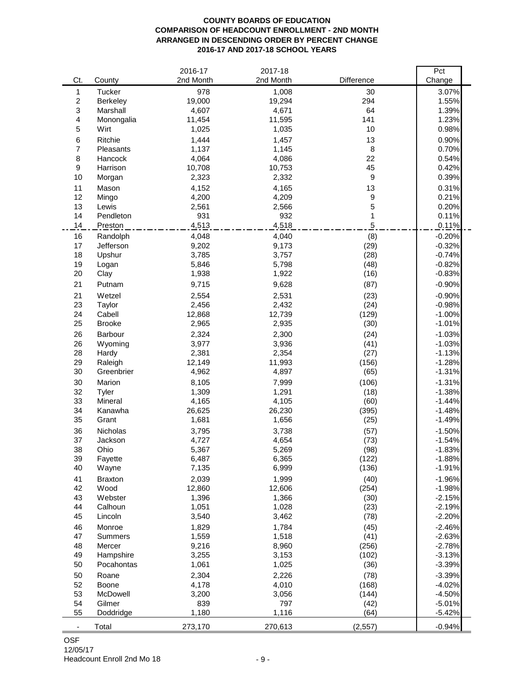#### **COUNTY BOARDS OF EDUCATION COMPARISON OF HEADCOUNT ENROLLMENT - 2ND MONTH ARRANGED IN DESCENDING ORDER BY PERCENT CHANGE 2016-17 AND 2017-18 SCHOOL YEARS**

|                |                       | 2016-17         | 2017-18         |                  | Pct                  |
|----------------|-----------------------|-----------------|-----------------|------------------|----------------------|
| Ct.            | County                | 2nd Month       | 2nd Month       | Difference       | Change               |
| 1              | <b>Tucker</b>         | 978             | 1,008           | 30               | 3.07%                |
| $\overline{c}$ | Berkeley              | 19,000          | 19,294          | 294              | 1.55%                |
| 3              | Marshall              | 4,607           | 4,671           | 64               | 1.39%                |
| 4              | Monongalia            | 11,454          | 11,595          | 141              | 1.23%                |
| 5              | Wirt                  | 1,025           | 1,035           | 10               | 0.98%                |
| 6              | Ritchie               | 1,444           | 1,457           | 13               | 0.90%                |
| $\overline{7}$ | Pleasants             | 1,137           | 1,145           | 8                | 0.70%                |
| 8              | Hancock               | 4,064           | 4,086           | 22               | 0.54%                |
| 9              | Harrison              | 10,708          | 10,753          | 45               | 0.42%                |
| 10             | Morgan                | 2,323           | 2,332           | $\boldsymbol{9}$ | 0.39%                |
| 11             | Mason                 | 4,152           | 4,165           | 13               | 0.31%                |
| 12             | Mingo                 | 4,200           | 4,209           | $\boldsymbol{9}$ | 0.21%                |
| 13             | Lewis                 | 2,561           | 2,566           | 5                | 0.20%                |
| 14             | Pendleton             | 931             | 932             | 1                | 0.11%                |
| 14             | Preston               | 4,513           | 4,518           | 5                | 0.11%                |
| 16             | Randolph              | 4,048           | 4,040           | (8)              | $-0.20%$             |
| 17             | Jefferson             | 9,202           | 9,173           | (29)             | $-0.32%$             |
| 18             | Upshur                | 3,785           | 3,757           | (28)             | $-0.74%$             |
| 19             | Logan                 | 5,846           | 5,798           | (48)             | $-0.82%$             |
| 20             | Clay                  | 1,938           | 1,922           | (16)             | $-0.83%$             |
| 21             | Putnam                | 9,715           | 9,628           | (87)             | $-0.90%$             |
| 21             | Wetzel                | 2,554           | 2,531           | (23)             | $-0.90%$             |
| 23             | Taylor                | 2,456           | 2,432           | (24)             | $-0.98%$             |
| 24             | Cabell                | 12,868          | 12,739          | (129)            | $-1.00%$             |
| 25             | <b>Brooke</b>         | 2,965           | 2,935           | (30)             | $-1.01%$             |
| 26             | Barbour               | 2,324           | 2,300           | (24)             | $-1.03%$             |
| 26             | Wyoming               | 3,977           | 3,936           | (41)             | $-1.03%$             |
| 28             | Hardy                 | 2,381           | 2,354           | (27)             | $-1.13%$             |
| 29             | Raleigh               | 12,149          | 11,993          | (156)            | $-1.28%$             |
| 30             | Greenbrier            | 4,962           | 4,897           | (65)             | $-1.31%$             |
| 30             | Marion                | 8,105           | 7,999           | (106)            | $-1.31%$             |
| 32             | Tyler                 | 1,309           | 1,291           | (18)             | $-1.38%$             |
| 33             | Mineral               | 4,165           | 4,105           | (60)             | $-1.44%$             |
| 34             | Kanawha               | 26,625          | 26,230          | (395)            | $-1.48%$             |
| 35             | Grant                 | 1,681           | 1,656           | (25)             | $-1.49%$             |
| 36             | Nicholas              | 3,795           | 3,738           | (57)             | $-1.50%$             |
| 37             | Jackson               | 4,727           | 4,654           | (73)             | $-1.54%$             |
| 38             | Ohio                  | 5,367           | 5,269           | (98)             | $-1.83%$             |
| 39<br>40       | Fayette               | 6,487           | 6,365           | (122)            | $-1.88%$             |
|                | Wayne                 | 7,135           | 6,999           | (136)            | $-1.91%$             |
| 41             | <b>Braxton</b>        | 2,039           | 1,999           | (40)             | $-1.96%$             |
| 42             | Wood                  | 12,860<br>1,396 | 12,606<br>1,366 | (254)            | $-1.98%$             |
| 43<br>44       | Webster               |                 | 1,028           | (30)             | $-2.15%$             |
| 45             | Calhoun<br>Lincoln    | 1,051           |                 | (23)             | $-2.19%$<br>$-2.20%$ |
|                |                       | 3,540           | 3,462           | (78)             |                      |
| 46             | Monroe                | 1,829           | 1,784           | (45)             | $-2.46%$             |
| 47<br>48       | Summers<br>Mercer     | 1,559<br>9,216  | 1,518<br>8,960  | (41)<br>(256)    | $-2.63%$<br>$-2.78%$ |
| 49             | Hampshire             | 3,255           | 3,153           | (102)            | $-3.13%$             |
| 50             | Pocahontas            | 1,061           | 1,025           | (36)             | $-3.39%$             |
| 50             |                       | 2,304           | 2,226           |                  | $-3.39%$             |
| 52             | Roane<br><b>Boone</b> | 4,178           | 4,010           | (78)<br>(168)    | $-4.02%$             |
| 53             | McDowell              | 3,200           | 3,056           | (144)            | $-4.50%$             |
| 54             | Gilmer                | 839             | 797             | (42)             | $-5.01%$             |
| 55             | Doddridge             | 1,180           | 1,116           | (64)             | $-5.42%$             |
|                |                       |                 |                 |                  |                      |
| ٠              | Total                 | 273,170         | 270,613         | (2, 557)         | $-0.94%$             |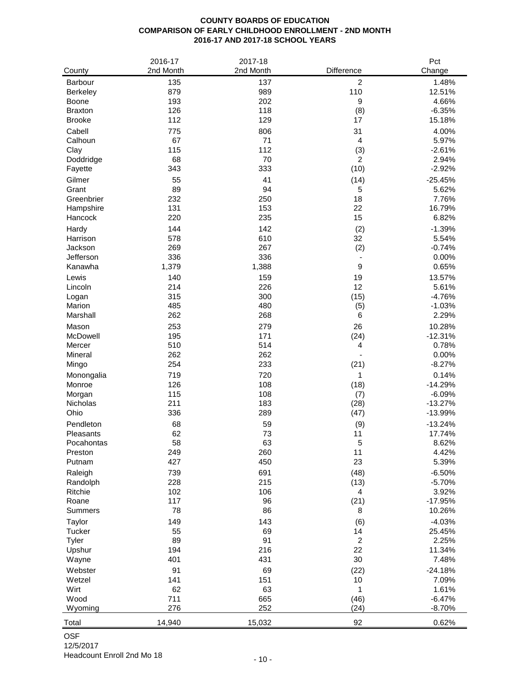# **COUNTY BOARDS OF EDUCATION COMPARISON OF EARLY CHILDHOOD ENROLLMENT - 2ND MONTH 2016-17 AND 2017-18 SCHOOL YEARS**

|                     | 2016-17   | 2017-18   |                          | Pct            |
|---------------------|-----------|-----------|--------------------------|----------------|
| County              | 2nd Month | 2nd Month | Difference               | Change         |
| Barbour             | 135       | 137       | $\overline{2}$           | 1.48%          |
| <b>Berkeley</b>     | 879       | 989       | 110                      | 12.51%         |
| Boone               | 193       | 202       | $\boldsymbol{9}$         | 4.66%          |
| <b>Braxton</b>      | 126       | 118       | (8)                      | $-6.35%$       |
| <b>Brooke</b>       | 112       | 129       | 17                       | 15.18%         |
| Cabell              | 775       | 806       | 31                       | 4.00%          |
| Calhoun             | 67        | 71        | $\overline{4}$           | 5.97%          |
| Clay                | 115       | 112       | (3)                      | $-2.61%$       |
| Doddridge           | 68<br>343 | 70<br>333 | 2                        | 2.94%          |
| Fayette             |           |           | (10)                     | $-2.92%$       |
| Gilmer              | 55        | 41        | (14)                     | $-25.45%$      |
| Grant<br>Greenbrier | 89<br>232 | 94<br>250 | 5<br>18                  | 5.62%<br>7.76% |
| Hampshire           | 131       | 153       | 22                       | 16.79%         |
| Hancock             | 220       | 235       | 15                       | 6.82%          |
| Hardy               | 144       | 142       |                          | $-1.39%$       |
| Harrison            | 578       | 610       | (2)<br>32                | 5.54%          |
| Jackson             | 269       | 267       | (2)                      | $-0.74%$       |
| Jefferson           | 336       | 336       |                          | 0.00%          |
| Kanawha             | 1,379     | 1,388     | $\boldsymbol{9}$         | 0.65%          |
| Lewis               | 140       | 159       | 19                       | 13.57%         |
| Lincoln             | 214       | 226       | 12                       | 5.61%          |
| Logan               | 315       | 300       | (15)                     | $-4.76%$       |
| Marion              | 485       | 480       | (5)                      | $-1.03%$       |
| Marshall            | 262       | 268       | 6                        | 2.29%          |
| Mason               | 253       | 279       | 26                       | 10.28%         |
| McDowell            | 195       | 171       | (24)                     | $-12.31%$      |
| Mercer              | 510       | 514       | 4                        | 0.78%          |
| Mineral             | 262       | 262       | $\overline{\phantom{a}}$ | 0.00%          |
| Mingo               | 254       | 233       | (21)                     | $-8.27%$       |
| Monongalia          | 719       | 720       | 1                        | 0.14%          |
| Monroe              | 126       | 108       | (18)                     | $-14.29%$      |
| Morgan              | 115       | 108       | (7)                      | $-6.09%$       |
| <b>Nicholas</b>     | 211       | 183       | (28)                     | $-13.27%$      |
| Ohio                | 336       | 289       | (47)                     | $-13.99%$      |
| Pendleton           | 68        | 59        | (9)                      | $-13.24%$      |
| Pleasants           | 62        | 73        | 11                       | 17.74%         |
| Pocahontas          | 58        | 63        | 5                        | 8.62%          |
| Preston             | 249       | 260       | 11                       | 4.42%          |
| Putnam              | 427       | 450       | 23                       | 5.39%          |
| Raleigh             | 739       | 691       | (48)                     | $-6.50%$       |
| Randolph            | 228       | 215       | (13)                     | $-5.70%$       |
| Ritchie             | 102       | 106       | 4                        | 3.92%          |
| Roane               | 117       | 96        | (21)                     | $-17.95%$      |
| <b>Summers</b>      | 78        | 86        | 8                        | 10.26%         |
| Taylor              | 149       | 143       | (6)                      | $-4.03%$       |
| Tucker              | 55        | 69        | 14                       | 25.45%         |
| Tyler               | 89        | 91        | $\sqrt{2}$               | 2.25%          |
| Upshur              | 194       | 216       | 22                       | 11.34%         |
| Wayne               | 401       | 431       | 30                       | 7.48%          |
| Webster             | 91        | 69        | (22)                     | $-24.18%$      |
| Wetzel              | 141       | 151       | 10                       | 7.09%          |
| Wirt                | 62        | 63        | 1                        | 1.61%          |
| Wood                | 711       | 665       | (46)                     | $-6.47%$       |
| Wyoming             | 276       | 252       | (24)                     | $-8.70%$       |
| Total               | 14,940    | 15,032    | 92                       | 0.62%          |

### OSF 12/5/2017

Headcount Enroll 2nd Mo 18 - 10 - 10 -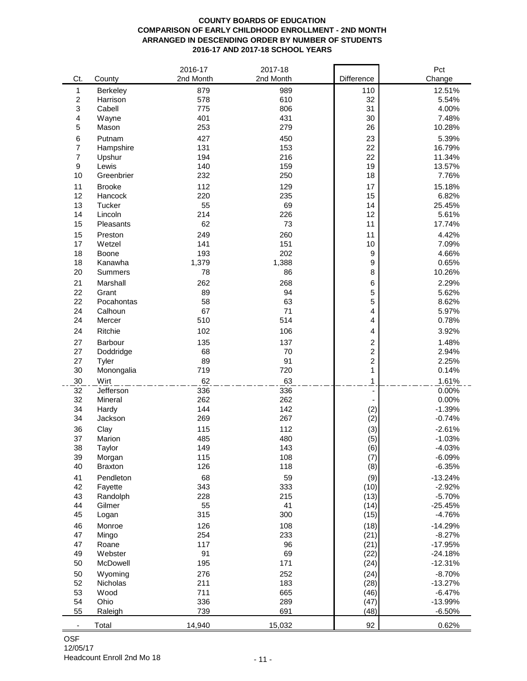### **COUNTY BOARDS OF EDUCATION COMPARISON OF EARLY CHILDHOOD ENROLLMENT - 2ND MONTH ARRANGED IN DESCENDING ORDER BY NUMBER OF STUDENTS 2016-17 AND 2017-18 SCHOOL YEARS**

|                          |                | 2016-17   | 2017-18   |                              | Pct       |
|--------------------------|----------------|-----------|-----------|------------------------------|-----------|
| Ct.                      | County         | 2nd Month | 2nd Month | Difference                   | Change    |
| 1                        | Berkeley       | 879       | 989       | 110                          | 12.51%    |
| $\overline{\mathbf{c}}$  | Harrison       | 578       | 610       | 32                           | 5.54%     |
| 3                        | Cabell         | 775       | 806       | 31                           | 4.00%     |
| 4                        | Wayne          | 401       | 431       | 30                           | 7.48%     |
| 5                        | Mason          | 253       | 279       | 26                           | 10.28%    |
| 6                        | Putnam         | 427       | 450       | 23                           | 5.39%     |
| 7                        | Hampshire      | 131       | 153       | 22                           | 16.79%    |
| $\overline{7}$           | Upshur         | 194       | 216       | 22                           | 11.34%    |
| 9                        | Lewis          | 140       | 159       | 19                           | 13.57%    |
| 10                       | Greenbrier     | 232       | 250       | 18                           | 7.76%     |
| 11                       | <b>Brooke</b>  | 112       | 129       | 17                           | 15.18%    |
| 12                       | Hancock        | 220       | 235       | 15                           | 6.82%     |
| 13                       | Tucker         | 55        | 69        | 14                           | 25.45%    |
| 14                       | Lincoln        | 214       | 226       | 12                           | 5.61%     |
| 15                       | Pleasants      | 62        | 73        | 11                           | 17.74%    |
| 15                       | Preston        | 249       | 260       | 11                           | 4.42%     |
| 17                       | Wetzel         | 141       | 151       | 10                           | 7.09%     |
| 18                       | Boone          | 193       | 202       | $\boldsymbol{9}$             | 4.66%     |
| 18                       | Kanawha        | 1,379     | 1,388     | $\boldsymbol{9}$             | 0.65%     |
| 20                       | <b>Summers</b> | 78        | 86        | 8                            | 10.26%    |
| 21                       | Marshall       | 262       | 268       | $\,6$                        | 2.29%     |
| 22                       | Grant          | 89        | 94        | 5                            | 5.62%     |
| 22                       | Pocahontas     | 58        | 63        | 5                            | 8.62%     |
| 24                       | Calhoun        | 67        | 71        | 4                            | 5.97%     |
| 24                       | Mercer         | 510       | 514       | 4                            | 0.78%     |
| 24                       | Ritchie        | 102       | 106       | 4                            | 3.92%     |
| 27                       | Barbour        | 135       | 137       | $\boldsymbol{2}$             | 1.48%     |
| 27                       | Doddridge      | 68        | 70        | $\overline{\mathbf{c}}$      | 2.94%     |
| 27                       | Tyler          | 89        | 91        | $\boldsymbol{2}$             | 2.25%     |
| 30                       | Monongalia     | 719       | 720       | $\mathbf{1}$                 | 0.14%     |
| 30                       | Wirt           | 62        | 63        | 1                            | 1.61%     |
| 32                       | Jefferson      | 336       | 336       | $\qquad \qquad \blacksquare$ | 0.00%     |
| 32                       | Mineral        | 262       | 262       |                              | 0.00%     |
| 34                       | Hardy          | 144       | 142       | (2)                          | $-1.39%$  |
| 34                       | Jackson        | 269       | 267       | (2)                          | $-0.74%$  |
| 36                       | Clay           | 115       | 112       | (3)                          | $-2.61%$  |
| 37                       | Marion         | 485       | 480       | (5)                          | $-1.03%$  |
| 38                       | Taylor         | 149       | 143       | (6)                          | $-4.03%$  |
| 39                       | Morgan         | 115       | 108       | (7)                          | $-6.09%$  |
| 40                       | <b>Braxton</b> | 126       | 118       | (8)                          | $-6.35%$  |
| 41                       | Pendleton      | 68        | 59        | (9)                          | $-13.24%$ |
| 42                       | Fayette        | 343       | 333       | (10)                         | $-2.92%$  |
| 43                       | Randolph       | 228       | 215       | (13)                         | $-5.70%$  |
| 44                       | Gilmer         | 55        | 41        | (14)                         | $-25.45%$ |
| 45                       | Logan          | 315       | 300       | (15)                         | $-4.76%$  |
| 46                       | Monroe         | 126       | 108       | (18)                         | $-14.29%$ |
| 47                       | Mingo          | 254       | 233       | (21)                         | $-8.27%$  |
| 47                       | Roane          | 117       | 96        | (21)                         | $-17.95%$ |
| 49                       | Webster        | 91        | 69        | (22)                         | $-24.18%$ |
| 50                       | McDowell       | 195       | 171       | (24)                         | $-12.31%$ |
| 50                       | Wyoming        | 276       | 252       | (24)                         | $-8.70%$  |
| 52                       | Nicholas       | 211       | 183       | (28)                         | $-13.27%$ |
| 53                       | Wood           | 711       | 665       | (46)                         | $-6.47%$  |
| 54                       | Ohio           | 336       | 289       | (47)                         | $-13.99%$ |
| 55                       | Raleigh        | 739       | 691       | (48)                         | $-6.50%$  |
| $\overline{\phantom{a}}$ | Total          | 14,940    | 15,032    | 92                           | 0.62%     |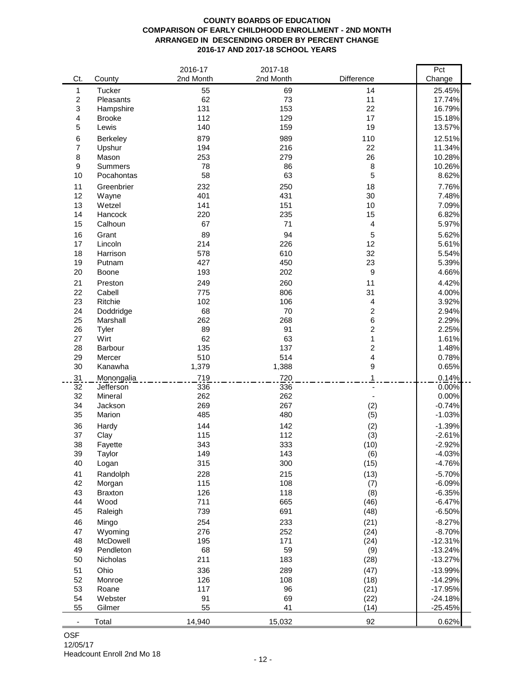### **COUNTY BOARDS OF EDUCATION COMPARISON OF EARLY CHILDHOOD ENROLLMENT - 2ND MONTH ARRANGED IN DESCENDING ORDER BY PERCENT CHANGE 2016-17 AND 2017-18 SCHOOL YEARS**

| Ct.<br>County<br>Change<br>Tucker<br>55<br>14<br>69<br>25.45%<br>1<br>$\overline{c}$<br>62<br>73<br>11<br>17.74%<br>Pleasants<br>3<br>131<br>153<br>22<br>16.79%<br>Hampshire<br>4<br>112<br>129<br>17<br>15.18%<br><b>Brooke</b><br>5<br>19<br>140<br>159<br>13.57%<br>Lewis<br>879<br>989<br>110<br>12.51%<br>6<br>Berkeley<br>$\overline{7}$<br>194<br>216<br>22<br>11.34%<br>Upshur<br>8<br>253<br>279<br>26<br>Mason<br>10.28%<br>9<br>78<br>86<br>8<br>10.26%<br><b>Summers</b><br>58<br>63<br>5<br>10<br>8.62%<br>Pocahontas<br>11<br>232<br>7.76%<br>250<br>18<br>Greenbrier<br>12<br>401<br>30<br>431<br>7.48%<br>Wayne<br>13<br>141<br>151<br>10<br>7.09%<br>Wetzel<br>220<br>235<br>14<br>Hancock<br>15<br>6.82%<br>67<br>71<br>15<br>Calhoun<br>$\overline{4}$<br>5.97%<br>16<br>89<br>94<br>5<br>5.62%<br>Grant<br>17<br>214<br>226<br>12<br>5.61%<br>Lincoln<br>32<br>18<br>578<br>610<br>5.54%<br>Harrison<br>427<br>450<br>23<br>19<br>5.39%<br>Putnam<br>$\boldsymbol{9}$<br>20<br>193<br>202<br>Boone<br>4.66%<br>21<br>249<br>260<br>4.42%<br>11<br>Preston<br>775<br>806<br>31<br>22<br>Cabell<br>4.00%<br>23<br>102<br>Ritchie<br>106<br>4<br>3.92%<br>$\overline{c}$<br>68<br>70<br>24<br>2.94%<br>Doddridge<br>25<br>262<br>268<br>6<br>2.29%<br>Marshall<br>89<br>2<br>26<br>91<br>2.25%<br>Tyler<br>62<br>63<br>$\mathbf{1}$<br>27<br>Wirt<br>1.61%<br>$\overline{c}$<br>135<br>137<br>28<br>Barbour<br>1.48%<br>29<br>510<br>514<br>4<br>Mercer<br>0.78%<br>9<br>30<br>1,379<br>1,388<br>0.65%<br>Kanawha<br>719<br>31<br>720<br>1<br>0.14%<br>Monongalia<br>32<br>336<br>336<br>0.00%<br>Jefferson<br>32<br>262<br>262<br>Mineral<br>0.00%<br>269<br>267<br>34<br>(2)<br>$-0.74%$<br>Jackson<br>35<br>485<br>480<br>(5)<br>$-1.03%$<br>Marion<br>36<br>144<br>142<br>(2)<br>$-1.39%$<br>Hardy<br>37<br>115<br>112<br>Clay<br>(3)<br>$-2.61%$<br>38<br>343<br>333<br>$-2.92%$<br>(10)<br>Fayette<br>$-4.03%$<br>149<br>143<br>39<br>Taylor<br>(6)<br>40<br>315<br>300<br>(15)<br>$-4.76%$<br>Logan<br>41<br>228<br>215<br>(13)<br>$-5.70%$<br>Randolph<br>115<br>42<br>108<br>$-6.09%$<br>Morgan<br>(7)<br>126<br>43<br>118<br>(8)<br>$-6.35%$<br><b>Braxton</b><br>711<br>44<br>Wood<br>665<br>$-6.47%$<br>(46)<br>739<br>45<br>691<br>(48)<br>$-6.50%$<br>Raleigh<br>46<br>254<br>$-8.27%$<br>Mingo<br>233<br>(21)<br>47<br>Wyoming<br>276<br>$-8.70%$<br>252<br>(24)<br>48<br>McDowell<br>195<br>171<br>$-12.31%$<br>(24)<br>59<br>49<br>Pendleton<br>68<br>$-13.24%$<br>(9)<br>211<br>50<br>Nicholas<br>183<br>$-13.27%$<br>(28)<br>51<br>Ohio<br>336<br>289<br>(47)<br>$-13.99%$<br>52<br>126<br>108<br>$-14.29%$<br>Monroe<br>(18)<br>53<br>117<br>96<br>$-17.95%$<br>Roane<br>(21)<br>91<br>54<br>69<br>(22)<br>$-24.18%$<br>Webster<br>55<br>55<br>41<br>(14)<br>$-25.45%$<br>Gilmer |       | 2016-17   | 2017-18   |            | Pct   |
|------------------------------------------------------------------------------------------------------------------------------------------------------------------------------------------------------------------------------------------------------------------------------------------------------------------------------------------------------------------------------------------------------------------------------------------------------------------------------------------------------------------------------------------------------------------------------------------------------------------------------------------------------------------------------------------------------------------------------------------------------------------------------------------------------------------------------------------------------------------------------------------------------------------------------------------------------------------------------------------------------------------------------------------------------------------------------------------------------------------------------------------------------------------------------------------------------------------------------------------------------------------------------------------------------------------------------------------------------------------------------------------------------------------------------------------------------------------------------------------------------------------------------------------------------------------------------------------------------------------------------------------------------------------------------------------------------------------------------------------------------------------------------------------------------------------------------------------------------------------------------------------------------------------------------------------------------------------------------------------------------------------------------------------------------------------------------------------------------------------------------------------------------------------------------------------------------------------------------------------------------------------------------------------------------------------------------------------------------------------------------------------------------------------------------------------------------------------------------------------------------------------------------------------------------------------------------------------------------------------------------------------------------------------------------------------------------------------------------------------------------------------------------------------------------------------------|-------|-----------|-----------|------------|-------|
|                                                                                                                                                                                                                                                                                                                                                                                                                                                                                                                                                                                                                                                                                                                                                                                                                                                                                                                                                                                                                                                                                                                                                                                                                                                                                                                                                                                                                                                                                                                                                                                                                                                                                                                                                                                                                                                                                                                                                                                                                                                                                                                                                                                                                                                                                                                                                                                                                                                                                                                                                                                                                                                                                                                                                                                                                        |       | 2nd Month | 2nd Month | Difference |       |
|                                                                                                                                                                                                                                                                                                                                                                                                                                                                                                                                                                                                                                                                                                                                                                                                                                                                                                                                                                                                                                                                                                                                                                                                                                                                                                                                                                                                                                                                                                                                                                                                                                                                                                                                                                                                                                                                                                                                                                                                                                                                                                                                                                                                                                                                                                                                                                                                                                                                                                                                                                                                                                                                                                                                                                                                                        |       |           |           |            |       |
|                                                                                                                                                                                                                                                                                                                                                                                                                                                                                                                                                                                                                                                                                                                                                                                                                                                                                                                                                                                                                                                                                                                                                                                                                                                                                                                                                                                                                                                                                                                                                                                                                                                                                                                                                                                                                                                                                                                                                                                                                                                                                                                                                                                                                                                                                                                                                                                                                                                                                                                                                                                                                                                                                                                                                                                                                        |       |           |           |            |       |
|                                                                                                                                                                                                                                                                                                                                                                                                                                                                                                                                                                                                                                                                                                                                                                                                                                                                                                                                                                                                                                                                                                                                                                                                                                                                                                                                                                                                                                                                                                                                                                                                                                                                                                                                                                                                                                                                                                                                                                                                                                                                                                                                                                                                                                                                                                                                                                                                                                                                                                                                                                                                                                                                                                                                                                                                                        |       |           |           |            |       |
|                                                                                                                                                                                                                                                                                                                                                                                                                                                                                                                                                                                                                                                                                                                                                                                                                                                                                                                                                                                                                                                                                                                                                                                                                                                                                                                                                                                                                                                                                                                                                                                                                                                                                                                                                                                                                                                                                                                                                                                                                                                                                                                                                                                                                                                                                                                                                                                                                                                                                                                                                                                                                                                                                                                                                                                                                        |       |           |           |            |       |
|                                                                                                                                                                                                                                                                                                                                                                                                                                                                                                                                                                                                                                                                                                                                                                                                                                                                                                                                                                                                                                                                                                                                                                                                                                                                                                                                                                                                                                                                                                                                                                                                                                                                                                                                                                                                                                                                                                                                                                                                                                                                                                                                                                                                                                                                                                                                                                                                                                                                                                                                                                                                                                                                                                                                                                                                                        |       |           |           |            |       |
|                                                                                                                                                                                                                                                                                                                                                                                                                                                                                                                                                                                                                                                                                                                                                                                                                                                                                                                                                                                                                                                                                                                                                                                                                                                                                                                                                                                                                                                                                                                                                                                                                                                                                                                                                                                                                                                                                                                                                                                                                                                                                                                                                                                                                                                                                                                                                                                                                                                                                                                                                                                                                                                                                                                                                                                                                        |       |           |           |            |       |
|                                                                                                                                                                                                                                                                                                                                                                                                                                                                                                                                                                                                                                                                                                                                                                                                                                                                                                                                                                                                                                                                                                                                                                                                                                                                                                                                                                                                                                                                                                                                                                                                                                                                                                                                                                                                                                                                                                                                                                                                                                                                                                                                                                                                                                                                                                                                                                                                                                                                                                                                                                                                                                                                                                                                                                                                                        |       |           |           |            |       |
|                                                                                                                                                                                                                                                                                                                                                                                                                                                                                                                                                                                                                                                                                                                                                                                                                                                                                                                                                                                                                                                                                                                                                                                                                                                                                                                                                                                                                                                                                                                                                                                                                                                                                                                                                                                                                                                                                                                                                                                                                                                                                                                                                                                                                                                                                                                                                                                                                                                                                                                                                                                                                                                                                                                                                                                                                        |       |           |           |            |       |
|                                                                                                                                                                                                                                                                                                                                                                                                                                                                                                                                                                                                                                                                                                                                                                                                                                                                                                                                                                                                                                                                                                                                                                                                                                                                                                                                                                                                                                                                                                                                                                                                                                                                                                                                                                                                                                                                                                                                                                                                                                                                                                                                                                                                                                                                                                                                                                                                                                                                                                                                                                                                                                                                                                                                                                                                                        |       |           |           |            |       |
|                                                                                                                                                                                                                                                                                                                                                                                                                                                                                                                                                                                                                                                                                                                                                                                                                                                                                                                                                                                                                                                                                                                                                                                                                                                                                                                                                                                                                                                                                                                                                                                                                                                                                                                                                                                                                                                                                                                                                                                                                                                                                                                                                                                                                                                                                                                                                                                                                                                                                                                                                                                                                                                                                                                                                                                                                        |       |           |           |            |       |
|                                                                                                                                                                                                                                                                                                                                                                                                                                                                                                                                                                                                                                                                                                                                                                                                                                                                                                                                                                                                                                                                                                                                                                                                                                                                                                                                                                                                                                                                                                                                                                                                                                                                                                                                                                                                                                                                                                                                                                                                                                                                                                                                                                                                                                                                                                                                                                                                                                                                                                                                                                                                                                                                                                                                                                                                                        |       |           |           |            |       |
|                                                                                                                                                                                                                                                                                                                                                                                                                                                                                                                                                                                                                                                                                                                                                                                                                                                                                                                                                                                                                                                                                                                                                                                                                                                                                                                                                                                                                                                                                                                                                                                                                                                                                                                                                                                                                                                                                                                                                                                                                                                                                                                                                                                                                                                                                                                                                                                                                                                                                                                                                                                                                                                                                                                                                                                                                        |       |           |           |            |       |
|                                                                                                                                                                                                                                                                                                                                                                                                                                                                                                                                                                                                                                                                                                                                                                                                                                                                                                                                                                                                                                                                                                                                                                                                                                                                                                                                                                                                                                                                                                                                                                                                                                                                                                                                                                                                                                                                                                                                                                                                                                                                                                                                                                                                                                                                                                                                                                                                                                                                                                                                                                                                                                                                                                                                                                                                                        |       |           |           |            |       |
|                                                                                                                                                                                                                                                                                                                                                                                                                                                                                                                                                                                                                                                                                                                                                                                                                                                                                                                                                                                                                                                                                                                                                                                                                                                                                                                                                                                                                                                                                                                                                                                                                                                                                                                                                                                                                                                                                                                                                                                                                                                                                                                                                                                                                                                                                                                                                                                                                                                                                                                                                                                                                                                                                                                                                                                                                        |       |           |           |            |       |
|                                                                                                                                                                                                                                                                                                                                                                                                                                                                                                                                                                                                                                                                                                                                                                                                                                                                                                                                                                                                                                                                                                                                                                                                                                                                                                                                                                                                                                                                                                                                                                                                                                                                                                                                                                                                                                                                                                                                                                                                                                                                                                                                                                                                                                                                                                                                                                                                                                                                                                                                                                                                                                                                                                                                                                                                                        |       |           |           |            |       |
|                                                                                                                                                                                                                                                                                                                                                                                                                                                                                                                                                                                                                                                                                                                                                                                                                                                                                                                                                                                                                                                                                                                                                                                                                                                                                                                                                                                                                                                                                                                                                                                                                                                                                                                                                                                                                                                                                                                                                                                                                                                                                                                                                                                                                                                                                                                                                                                                                                                                                                                                                                                                                                                                                                                                                                                                                        |       |           |           |            |       |
|                                                                                                                                                                                                                                                                                                                                                                                                                                                                                                                                                                                                                                                                                                                                                                                                                                                                                                                                                                                                                                                                                                                                                                                                                                                                                                                                                                                                                                                                                                                                                                                                                                                                                                                                                                                                                                                                                                                                                                                                                                                                                                                                                                                                                                                                                                                                                                                                                                                                                                                                                                                                                                                                                                                                                                                                                        |       |           |           |            |       |
|                                                                                                                                                                                                                                                                                                                                                                                                                                                                                                                                                                                                                                                                                                                                                                                                                                                                                                                                                                                                                                                                                                                                                                                                                                                                                                                                                                                                                                                                                                                                                                                                                                                                                                                                                                                                                                                                                                                                                                                                                                                                                                                                                                                                                                                                                                                                                                                                                                                                                                                                                                                                                                                                                                                                                                                                                        |       |           |           |            |       |
|                                                                                                                                                                                                                                                                                                                                                                                                                                                                                                                                                                                                                                                                                                                                                                                                                                                                                                                                                                                                                                                                                                                                                                                                                                                                                                                                                                                                                                                                                                                                                                                                                                                                                                                                                                                                                                                                                                                                                                                                                                                                                                                                                                                                                                                                                                                                                                                                                                                                                                                                                                                                                                                                                                                                                                                                                        |       |           |           |            |       |
|                                                                                                                                                                                                                                                                                                                                                                                                                                                                                                                                                                                                                                                                                                                                                                                                                                                                                                                                                                                                                                                                                                                                                                                                                                                                                                                                                                                                                                                                                                                                                                                                                                                                                                                                                                                                                                                                                                                                                                                                                                                                                                                                                                                                                                                                                                                                                                                                                                                                                                                                                                                                                                                                                                                                                                                                                        |       |           |           |            |       |
|                                                                                                                                                                                                                                                                                                                                                                                                                                                                                                                                                                                                                                                                                                                                                                                                                                                                                                                                                                                                                                                                                                                                                                                                                                                                                                                                                                                                                                                                                                                                                                                                                                                                                                                                                                                                                                                                                                                                                                                                                                                                                                                                                                                                                                                                                                                                                                                                                                                                                                                                                                                                                                                                                                                                                                                                                        |       |           |           |            |       |
|                                                                                                                                                                                                                                                                                                                                                                                                                                                                                                                                                                                                                                                                                                                                                                                                                                                                                                                                                                                                                                                                                                                                                                                                                                                                                                                                                                                                                                                                                                                                                                                                                                                                                                                                                                                                                                                                                                                                                                                                                                                                                                                                                                                                                                                                                                                                                                                                                                                                                                                                                                                                                                                                                                                                                                                                                        |       |           |           |            |       |
|                                                                                                                                                                                                                                                                                                                                                                                                                                                                                                                                                                                                                                                                                                                                                                                                                                                                                                                                                                                                                                                                                                                                                                                                                                                                                                                                                                                                                                                                                                                                                                                                                                                                                                                                                                                                                                                                                                                                                                                                                                                                                                                                                                                                                                                                                                                                                                                                                                                                                                                                                                                                                                                                                                                                                                                                                        |       |           |           |            |       |
|                                                                                                                                                                                                                                                                                                                                                                                                                                                                                                                                                                                                                                                                                                                                                                                                                                                                                                                                                                                                                                                                                                                                                                                                                                                                                                                                                                                                                                                                                                                                                                                                                                                                                                                                                                                                                                                                                                                                                                                                                                                                                                                                                                                                                                                                                                                                                                                                                                                                                                                                                                                                                                                                                                                                                                                                                        |       |           |           |            |       |
|                                                                                                                                                                                                                                                                                                                                                                                                                                                                                                                                                                                                                                                                                                                                                                                                                                                                                                                                                                                                                                                                                                                                                                                                                                                                                                                                                                                                                                                                                                                                                                                                                                                                                                                                                                                                                                                                                                                                                                                                                                                                                                                                                                                                                                                                                                                                                                                                                                                                                                                                                                                                                                                                                                                                                                                                                        |       |           |           |            |       |
|                                                                                                                                                                                                                                                                                                                                                                                                                                                                                                                                                                                                                                                                                                                                                                                                                                                                                                                                                                                                                                                                                                                                                                                                                                                                                                                                                                                                                                                                                                                                                                                                                                                                                                                                                                                                                                                                                                                                                                                                                                                                                                                                                                                                                                                                                                                                                                                                                                                                                                                                                                                                                                                                                                                                                                                                                        |       |           |           |            |       |
|                                                                                                                                                                                                                                                                                                                                                                                                                                                                                                                                                                                                                                                                                                                                                                                                                                                                                                                                                                                                                                                                                                                                                                                                                                                                                                                                                                                                                                                                                                                                                                                                                                                                                                                                                                                                                                                                                                                                                                                                                                                                                                                                                                                                                                                                                                                                                                                                                                                                                                                                                                                                                                                                                                                                                                                                                        |       |           |           |            |       |
|                                                                                                                                                                                                                                                                                                                                                                                                                                                                                                                                                                                                                                                                                                                                                                                                                                                                                                                                                                                                                                                                                                                                                                                                                                                                                                                                                                                                                                                                                                                                                                                                                                                                                                                                                                                                                                                                                                                                                                                                                                                                                                                                                                                                                                                                                                                                                                                                                                                                                                                                                                                                                                                                                                                                                                                                                        |       |           |           |            |       |
|                                                                                                                                                                                                                                                                                                                                                                                                                                                                                                                                                                                                                                                                                                                                                                                                                                                                                                                                                                                                                                                                                                                                                                                                                                                                                                                                                                                                                                                                                                                                                                                                                                                                                                                                                                                                                                                                                                                                                                                                                                                                                                                                                                                                                                                                                                                                                                                                                                                                                                                                                                                                                                                                                                                                                                                                                        |       |           |           |            |       |
|                                                                                                                                                                                                                                                                                                                                                                                                                                                                                                                                                                                                                                                                                                                                                                                                                                                                                                                                                                                                                                                                                                                                                                                                                                                                                                                                                                                                                                                                                                                                                                                                                                                                                                                                                                                                                                                                                                                                                                                                                                                                                                                                                                                                                                                                                                                                                                                                                                                                                                                                                                                                                                                                                                                                                                                                                        |       |           |           |            |       |
|                                                                                                                                                                                                                                                                                                                                                                                                                                                                                                                                                                                                                                                                                                                                                                                                                                                                                                                                                                                                                                                                                                                                                                                                                                                                                                                                                                                                                                                                                                                                                                                                                                                                                                                                                                                                                                                                                                                                                                                                                                                                                                                                                                                                                                                                                                                                                                                                                                                                                                                                                                                                                                                                                                                                                                                                                        |       |           |           |            |       |
|                                                                                                                                                                                                                                                                                                                                                                                                                                                                                                                                                                                                                                                                                                                                                                                                                                                                                                                                                                                                                                                                                                                                                                                                                                                                                                                                                                                                                                                                                                                                                                                                                                                                                                                                                                                                                                                                                                                                                                                                                                                                                                                                                                                                                                                                                                                                                                                                                                                                                                                                                                                                                                                                                                                                                                                                                        |       |           |           |            |       |
|                                                                                                                                                                                                                                                                                                                                                                                                                                                                                                                                                                                                                                                                                                                                                                                                                                                                                                                                                                                                                                                                                                                                                                                                                                                                                                                                                                                                                                                                                                                                                                                                                                                                                                                                                                                                                                                                                                                                                                                                                                                                                                                                                                                                                                                                                                                                                                                                                                                                                                                                                                                                                                                                                                                                                                                                                        |       |           |           |            |       |
|                                                                                                                                                                                                                                                                                                                                                                                                                                                                                                                                                                                                                                                                                                                                                                                                                                                                                                                                                                                                                                                                                                                                                                                                                                                                                                                                                                                                                                                                                                                                                                                                                                                                                                                                                                                                                                                                                                                                                                                                                                                                                                                                                                                                                                                                                                                                                                                                                                                                                                                                                                                                                                                                                                                                                                                                                        |       |           |           |            |       |
|                                                                                                                                                                                                                                                                                                                                                                                                                                                                                                                                                                                                                                                                                                                                                                                                                                                                                                                                                                                                                                                                                                                                                                                                                                                                                                                                                                                                                                                                                                                                                                                                                                                                                                                                                                                                                                                                                                                                                                                                                                                                                                                                                                                                                                                                                                                                                                                                                                                                                                                                                                                                                                                                                                                                                                                                                        |       |           |           |            |       |
|                                                                                                                                                                                                                                                                                                                                                                                                                                                                                                                                                                                                                                                                                                                                                                                                                                                                                                                                                                                                                                                                                                                                                                                                                                                                                                                                                                                                                                                                                                                                                                                                                                                                                                                                                                                                                                                                                                                                                                                                                                                                                                                                                                                                                                                                                                                                                                                                                                                                                                                                                                                                                                                                                                                                                                                                                        |       |           |           |            |       |
|                                                                                                                                                                                                                                                                                                                                                                                                                                                                                                                                                                                                                                                                                                                                                                                                                                                                                                                                                                                                                                                                                                                                                                                                                                                                                                                                                                                                                                                                                                                                                                                                                                                                                                                                                                                                                                                                                                                                                                                                                                                                                                                                                                                                                                                                                                                                                                                                                                                                                                                                                                                                                                                                                                                                                                                                                        |       |           |           |            |       |
|                                                                                                                                                                                                                                                                                                                                                                                                                                                                                                                                                                                                                                                                                                                                                                                                                                                                                                                                                                                                                                                                                                                                                                                                                                                                                                                                                                                                                                                                                                                                                                                                                                                                                                                                                                                                                                                                                                                                                                                                                                                                                                                                                                                                                                                                                                                                                                                                                                                                                                                                                                                                                                                                                                                                                                                                                        |       |           |           |            |       |
|                                                                                                                                                                                                                                                                                                                                                                                                                                                                                                                                                                                                                                                                                                                                                                                                                                                                                                                                                                                                                                                                                                                                                                                                                                                                                                                                                                                                                                                                                                                                                                                                                                                                                                                                                                                                                                                                                                                                                                                                                                                                                                                                                                                                                                                                                                                                                                                                                                                                                                                                                                                                                                                                                                                                                                                                                        |       |           |           |            |       |
|                                                                                                                                                                                                                                                                                                                                                                                                                                                                                                                                                                                                                                                                                                                                                                                                                                                                                                                                                                                                                                                                                                                                                                                                                                                                                                                                                                                                                                                                                                                                                                                                                                                                                                                                                                                                                                                                                                                                                                                                                                                                                                                                                                                                                                                                                                                                                                                                                                                                                                                                                                                                                                                                                                                                                                                                                        |       |           |           |            |       |
|                                                                                                                                                                                                                                                                                                                                                                                                                                                                                                                                                                                                                                                                                                                                                                                                                                                                                                                                                                                                                                                                                                                                                                                                                                                                                                                                                                                                                                                                                                                                                                                                                                                                                                                                                                                                                                                                                                                                                                                                                                                                                                                                                                                                                                                                                                                                                                                                                                                                                                                                                                                                                                                                                                                                                                                                                        |       |           |           |            |       |
|                                                                                                                                                                                                                                                                                                                                                                                                                                                                                                                                                                                                                                                                                                                                                                                                                                                                                                                                                                                                                                                                                                                                                                                                                                                                                                                                                                                                                                                                                                                                                                                                                                                                                                                                                                                                                                                                                                                                                                                                                                                                                                                                                                                                                                                                                                                                                                                                                                                                                                                                                                                                                                                                                                                                                                                                                        |       |           |           |            |       |
|                                                                                                                                                                                                                                                                                                                                                                                                                                                                                                                                                                                                                                                                                                                                                                                                                                                                                                                                                                                                                                                                                                                                                                                                                                                                                                                                                                                                                                                                                                                                                                                                                                                                                                                                                                                                                                                                                                                                                                                                                                                                                                                                                                                                                                                                                                                                                                                                                                                                                                                                                                                                                                                                                                                                                                                                                        |       |           |           |            |       |
|                                                                                                                                                                                                                                                                                                                                                                                                                                                                                                                                                                                                                                                                                                                                                                                                                                                                                                                                                                                                                                                                                                                                                                                                                                                                                                                                                                                                                                                                                                                                                                                                                                                                                                                                                                                                                                                                                                                                                                                                                                                                                                                                                                                                                                                                                                                                                                                                                                                                                                                                                                                                                                                                                                                                                                                                                        |       |           |           |            |       |
|                                                                                                                                                                                                                                                                                                                                                                                                                                                                                                                                                                                                                                                                                                                                                                                                                                                                                                                                                                                                                                                                                                                                                                                                                                                                                                                                                                                                                                                                                                                                                                                                                                                                                                                                                                                                                                                                                                                                                                                                                                                                                                                                                                                                                                                                                                                                                                                                                                                                                                                                                                                                                                                                                                                                                                                                                        |       |           |           |            |       |
|                                                                                                                                                                                                                                                                                                                                                                                                                                                                                                                                                                                                                                                                                                                                                                                                                                                                                                                                                                                                                                                                                                                                                                                                                                                                                                                                                                                                                                                                                                                                                                                                                                                                                                                                                                                                                                                                                                                                                                                                                                                                                                                                                                                                                                                                                                                                                                                                                                                                                                                                                                                                                                                                                                                                                                                                                        |       |           |           |            |       |
|                                                                                                                                                                                                                                                                                                                                                                                                                                                                                                                                                                                                                                                                                                                                                                                                                                                                                                                                                                                                                                                                                                                                                                                                                                                                                                                                                                                                                                                                                                                                                                                                                                                                                                                                                                                                                                                                                                                                                                                                                                                                                                                                                                                                                                                                                                                                                                                                                                                                                                                                                                                                                                                                                                                                                                                                                        |       |           |           |            |       |
|                                                                                                                                                                                                                                                                                                                                                                                                                                                                                                                                                                                                                                                                                                                                                                                                                                                                                                                                                                                                                                                                                                                                                                                                                                                                                                                                                                                                                                                                                                                                                                                                                                                                                                                                                                                                                                                                                                                                                                                                                                                                                                                                                                                                                                                                                                                                                                                                                                                                                                                                                                                                                                                                                                                                                                                                                        |       |           |           |            |       |
|                                                                                                                                                                                                                                                                                                                                                                                                                                                                                                                                                                                                                                                                                                                                                                                                                                                                                                                                                                                                                                                                                                                                                                                                                                                                                                                                                                                                                                                                                                                                                                                                                                                                                                                                                                                                                                                                                                                                                                                                                                                                                                                                                                                                                                                                                                                                                                                                                                                                                                                                                                                                                                                                                                                                                                                                                        |       |           |           |            |       |
|                                                                                                                                                                                                                                                                                                                                                                                                                                                                                                                                                                                                                                                                                                                                                                                                                                                                                                                                                                                                                                                                                                                                                                                                                                                                                                                                                                                                                                                                                                                                                                                                                                                                                                                                                                                                                                                                                                                                                                                                                                                                                                                                                                                                                                                                                                                                                                                                                                                                                                                                                                                                                                                                                                                                                                                                                        |       |           |           |            |       |
|                                                                                                                                                                                                                                                                                                                                                                                                                                                                                                                                                                                                                                                                                                                                                                                                                                                                                                                                                                                                                                                                                                                                                                                                                                                                                                                                                                                                                                                                                                                                                                                                                                                                                                                                                                                                                                                                                                                                                                                                                                                                                                                                                                                                                                                                                                                                                                                                                                                                                                                                                                                                                                                                                                                                                                                                                        |       |           |           |            |       |
|                                                                                                                                                                                                                                                                                                                                                                                                                                                                                                                                                                                                                                                                                                                                                                                                                                                                                                                                                                                                                                                                                                                                                                                                                                                                                                                                                                                                                                                                                                                                                                                                                                                                                                                                                                                                                                                                                                                                                                                                                                                                                                                                                                                                                                                                                                                                                                                                                                                                                                                                                                                                                                                                                                                                                                                                                        |       |           |           |            |       |
|                                                                                                                                                                                                                                                                                                                                                                                                                                                                                                                                                                                                                                                                                                                                                                                                                                                                                                                                                                                                                                                                                                                                                                                                                                                                                                                                                                                                                                                                                                                                                                                                                                                                                                                                                                                                                                                                                                                                                                                                                                                                                                                                                                                                                                                                                                                                                                                                                                                                                                                                                                                                                                                                                                                                                                                                                        |       |           |           |            |       |
|                                                                                                                                                                                                                                                                                                                                                                                                                                                                                                                                                                                                                                                                                                                                                                                                                                                                                                                                                                                                                                                                                                                                                                                                                                                                                                                                                                                                                                                                                                                                                                                                                                                                                                                                                                                                                                                                                                                                                                                                                                                                                                                                                                                                                                                                                                                                                                                                                                                                                                                                                                                                                                                                                                                                                                                                                        |       |           |           |            |       |
|                                                                                                                                                                                                                                                                                                                                                                                                                                                                                                                                                                                                                                                                                                                                                                                                                                                                                                                                                                                                                                                                                                                                                                                                                                                                                                                                                                                                                                                                                                                                                                                                                                                                                                                                                                                                                                                                                                                                                                                                                                                                                                                                                                                                                                                                                                                                                                                                                                                                                                                                                                                                                                                                                                                                                                                                                        |       |           |           |            |       |
|                                                                                                                                                                                                                                                                                                                                                                                                                                                                                                                                                                                                                                                                                                                                                                                                                                                                                                                                                                                                                                                                                                                                                                                                                                                                                                                                                                                                                                                                                                                                                                                                                                                                                                                                                                                                                                                                                                                                                                                                                                                                                                                                                                                                                                                                                                                                                                                                                                                                                                                                                                                                                                                                                                                                                                                                                        |       |           |           |            |       |
|                                                                                                                                                                                                                                                                                                                                                                                                                                                                                                                                                                                                                                                                                                                                                                                                                                                                                                                                                                                                                                                                                                                                                                                                                                                                                                                                                                                                                                                                                                                                                                                                                                                                                                                                                                                                                                                                                                                                                                                                                                                                                                                                                                                                                                                                                                                                                                                                                                                                                                                                                                                                                                                                                                                                                                                                                        |       |           |           |            |       |
|                                                                                                                                                                                                                                                                                                                                                                                                                                                                                                                                                                                                                                                                                                                                                                                                                                                                                                                                                                                                                                                                                                                                                                                                                                                                                                                                                                                                                                                                                                                                                                                                                                                                                                                                                                                                                                                                                                                                                                                                                                                                                                                                                                                                                                                                                                                                                                                                                                                                                                                                                                                                                                                                                                                                                                                                                        |       |           |           |            |       |
|                                                                                                                                                                                                                                                                                                                                                                                                                                                                                                                                                                                                                                                                                                                                                                                                                                                                                                                                                                                                                                                                                                                                                                                                                                                                                                                                                                                                                                                                                                                                                                                                                                                                                                                                                                                                                                                                                                                                                                                                                                                                                                                                                                                                                                                                                                                                                                                                                                                                                                                                                                                                                                                                                                                                                                                                                        | Total | 14,940    | 15,032    | 92         | 0.62% |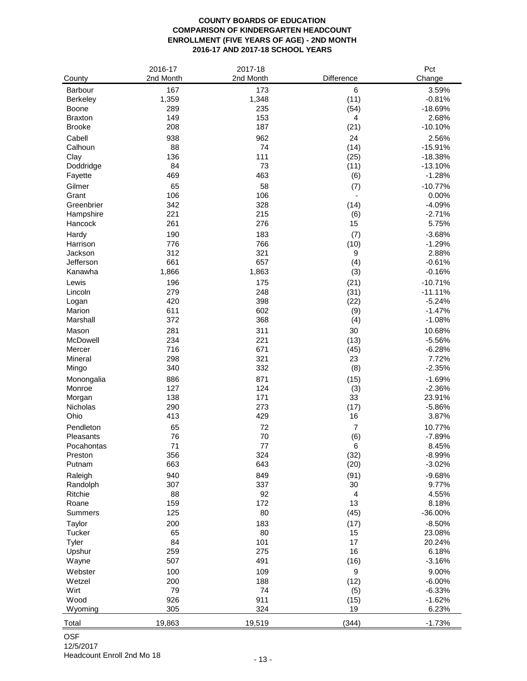#### **COUNTY BOARDS OF EDUCATION COMPARISON OF KINDERGARTEN HEADCOUNT ENROLLMENT (FIVE YEARS OF AGE) - 2ND MONTH 2016-17 AND 2017-18 SCHOOL YEARS**

|                 | 2016-17   | 2017-18   |                | Pct       |
|-----------------|-----------|-----------|----------------|-----------|
| County          | 2nd Month | 2nd Month | Difference     | Change    |
| <b>Barbour</b>  | 167       | 173       | $\,6$          | 3.59%     |
| Berkeley        | 1,359     | 1,348     | (11)           | $-0.81%$  |
| Boone           | 289       | 235       | (54)           | $-18.69%$ |
| <b>Braxton</b>  | 149       | 153       | 4              | 2.68%     |
| <b>Brooke</b>   | 208       | 187       | (21)           | $-10.10%$ |
|                 |           |           |                |           |
| Cabell          | 938       | 962       | 24             | 2.56%     |
| Calhoun         | 88        | 74        | (14)           | $-15.91%$ |
| Clay            | 136       | 111       | (25)           | $-18.38%$ |
| Doddridge       | 84        | 73        | (11)           | $-13.10%$ |
| Fayette         | 469       | 463       | (6)            | $-1.28%$  |
| Gilmer          | 65        | 58        | (7)            | $-10.77%$ |
| Grant           | 106       | 106       |                | 0.00%     |
| Greenbrier      | 342       | 328       | (14)           | $-4.09%$  |
| Hampshire       | 221       | 215       | (6)            | $-2.71%$  |
| Hancock         | 261       | 276       | 15             | 5.75%     |
| Hardy           | 190       | 183       | (7)            | $-3.68%$  |
| Harrison        | 776       | 766       | (10)           | $-1.29%$  |
| Jackson         | 312       | 321       | 9              | 2.88%     |
| Jefferson       | 661       | 657       | (4)            | $-0.61%$  |
| Kanawha         | 1,866     | 1,863     | (3)            | $-0.16%$  |
|                 |           |           |                |           |
| Lewis           | 196       | 175       | (21)           | $-10.71%$ |
| Lincoln         | 279       | 248       | (31)           | $-11.11%$ |
| Logan           | 420       | 398       | (22)           | $-5.24%$  |
| Marion          | 611       | 602       | (9)            | $-1.47%$  |
| Marshall        | 372       | 368       | (4)            | $-1.08%$  |
| Mason           | 281       | 311       | 30             | 10.68%    |
| McDowell        | 234       | 221       | (13)           | $-5.56%$  |
| Mercer          | 716       | 671       | (45)           | $-6.28%$  |
| Mineral         | 298       | 321       | 23             | 7.72%     |
| Mingo           | 340       | 332       | (8)            | $-2.35%$  |
| Monongalia      | 886       | 871       | (15)           | $-1.69%$  |
| Monroe          | 127       | 124       | (3)            | $-2.36%$  |
| Morgan          | 138       | 171       | 33             | 23.91%    |
| <b>Nicholas</b> | 290       | 273       | (17)           | $-5.86%$  |
| Ohio            | 413       | 429       | 16             | 3.87%     |
| Pendleton       | 65        | 72        | $\overline{7}$ | 10.77%    |
| Pleasants       | 76        | 70        | (6)            | $-7.89%$  |
| Pocahontas      | 71        | 77        | 6              | 8.45%     |
| Preston         | 356       | 324       | (32)           | $-8.99%$  |
| Putnam          | 663       | 643       | (20)           | $-3.02%$  |
|                 |           |           |                |           |
| Raleigh         | 940       | 849       | (91)           | $-9.68%$  |
| Randolph        | 307       | 337       | 30             | 9.77%     |
| Ritchie         | 88        | 92        | 4              | 4.55%     |
| Roane           | 159       | 172       | 13             | 8.18%     |
| Summers         | 125       | 80        | (45)           | $-36.00%$ |
| Taylor          | 200       | 183       | (17)           | $-8.50%$  |
| Tucker          | 65        | 80        | 15             | 23.08%    |
| Tyler           | 84        | 101       | 17             | 20.24%    |
| Upshur          | 259       | 275       | 16             | 6.18%     |
| Wayne           | 507       | 491       | (16)           | $-3.16%$  |
| Webster         | 100       | 109       | 9              | 9.00%     |
| Wetzel          | 200       | 188       | (12)           | $-6.00%$  |
| Wirt            | 79        | 74        | (5)            | $-6.33%$  |
| Wood            | 926       | 911       | (15)           | $-1.62%$  |
| Wyoming         | 305       | 324       | 19             | 6.23%     |
|                 |           |           |                |           |
| Total           | 19,863    | 19,519    | (344)          | $-1.73%$  |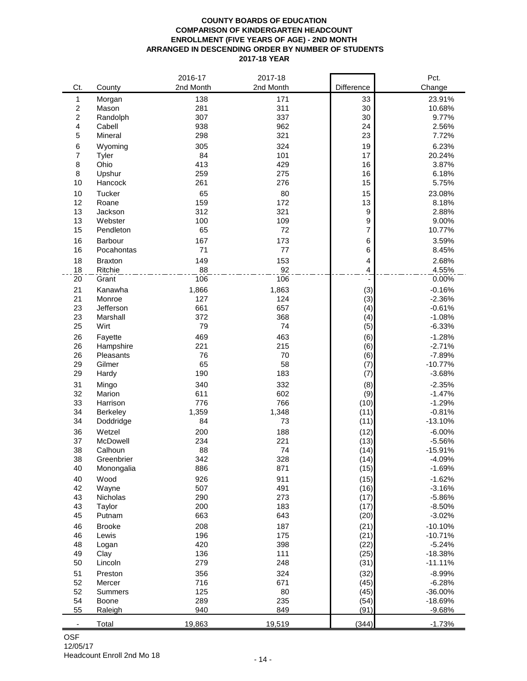#### **COUNTY BOARDS OF EDUCATION COMPARISON OF KINDERGARTEN HEADCOUNT ENROLLMENT (FIVE YEARS OF AGE) - 2ND MONTH ARRANGED IN DESCENDING ORDER BY NUMBER OF STUDENTS 2017-18 YEAR**

|                  |                       | 2016-17      | 2017-18      |                | Pct.                 |
|------------------|-----------------------|--------------|--------------|----------------|----------------------|
| Ct.              | County                | 2nd Month    | 2nd Month    | Difference     | Change               |
| 1                | Morgan                | 138          | 171          | 33             | 23.91%               |
| $\boldsymbol{2}$ | Mason                 | 281          | 311          | 30             | 10.68%               |
| 2                | Randolph              | 307          | 337          | 30             | 9.77%                |
| 4                | Cabell                | 938          | 962          | 24             | 2.56%                |
| 5                | Mineral               | 298          | 321          | 23             | 7.72%                |
| 6                | Wyoming               | 305          | 324          | 19             | 6.23%                |
| 7                | Tyler                 | 84           | 101          | 17             | 20.24%               |
| 8                | Ohio                  | 413          | 429          | 16             | 3.87%                |
| 8                | Upshur                | 259          | 275          | 16             | 6.18%                |
| 10               | Hancock               | 261          | 276          | 15             | 5.75%                |
| 10               | Tucker                | 65           | 80           | 15             | 23.08%               |
| 12               | Roane                 | 159          | 172          | 13             | 8.18%                |
| 13               | Jackson               | 312          | 321          | 9              | 2.88%                |
| 13               | Webster               | 100          | 109          | 9              | 9.00%                |
| 15               | Pendleton             | 65           | 72           | $\overline{7}$ | 10.77%               |
| 16               | Barbour               | 167          | 173          | 6              | 3.59%                |
| 16               | Pocahontas            | 71           | 77           | 6              | 8.45%                |
| 18               | <b>Braxton</b>        | 149          | 153          | 4              | 2.68%                |
| 18               | Ritchie               | 88           | 92           | 4              | 4.55%                |
| 20               | Grant                 | 106          | 106          | $\blacksquare$ | 0.00%                |
|                  |                       |              |              |                |                      |
| 21               | Kanawha               | 1,866<br>127 | 1,863<br>124 | (3)            | $-0.16%$             |
| 21               | Monroe                |              |              | (3)            | $-2.36%$             |
| 23<br>23         | Jefferson<br>Marshall | 661<br>372   | 657<br>368   | (4)            | $-0.61%$<br>$-1.08%$ |
| 25               | Wirt                  | 79           | 74           | (4)            | $-6.33%$             |
|                  |                       |              |              | (5)            |                      |
| 26               | Fayette               | 469          | 463          | (6)            | $-1.28%$             |
| 26               | Hampshire             | 221          | 215          | (6)            | $-2.71%$             |
| 26               | Pleasants             | 76           | 70           | (6)            | $-7.89%$             |
| 29               | Gilmer                | 65           | 58           | (7)            | $-10.77%$            |
| 29               | Hardy                 | 190          | 183          | (7)            | $-3.68%$             |
| 31               | Mingo                 | 340          | 332          | (8)            | $-2.35%$             |
| 32               | Marion                | 611          | 602          | (9)            | $-1.47%$             |
| 33               | Harrison              | 776          | 766          | (10)           | $-1.29%$             |
| 34               | Berkeley              | 1,359        | 1,348        | (11)           | $-0.81%$             |
| 34               | Doddridge             | 84           | 73           | (11)           | $-13.10%$            |
| 36               | Wetzel                | 200          | 188          | (12)           | $-6.00%$             |
| 37               | McDowell              | 234          | 221          | (13)           | $-5.56%$             |
| 38               | Calhoun               | 88           | 74           | (14)           | $-15.91%$            |
| 38               | Greenbrier            | 342          | 328          | (14)           | $-4.09%$             |
| 40               | Monongalia            | 886          | 871          | (15)           | $-1.69%$             |
| 40               | Wood                  | 926          | 911          | (15)           | $-1.62%$             |
| 42               | Wayne                 | 507          | 491          | (16)           | $-3.16%$             |
| 43               | <b>Nicholas</b>       | 290          | 273          | (17)           | $-5.86%$             |
| 43               | Taylor                | 200          | 183          | (17)           | $-8.50%$             |
| 45               | Putnam                | 663          | 643          | (20)           | $-3.02%$             |
| 46               | <b>Brooke</b>         | 208          | 187          | (21)           | $-10.10%$            |
| 46               | Lewis                 | 196          | 175          | (21)           | $-10.71%$            |
| 48               | Logan                 | 420          | 398          | (22)           | $-5.24%$             |
| 49               | Clay                  | 136          | 111          | (25)           | $-18.38%$            |
| 50               | Lincoln               | 279          | 248          | (31)           | $-11.11%$            |
| 51               | Preston               | 356          | 324          | (32)           | $-8.99%$             |
| 52               | Mercer                | 716          | 671          | (45)           | $-6.28%$             |
| 52               | Summers               | 125          | 80           | (45)           | $-36.00%$            |
| 54               | Boone                 | 289          | 235          | (54)           | $-18.69%$            |
| 55               | Raleigh               | 940          | 849          | (91)           | $-9.68%$             |
|                  | Total                 | 19,863       | 19,519       | (344)          | $-1.73%$             |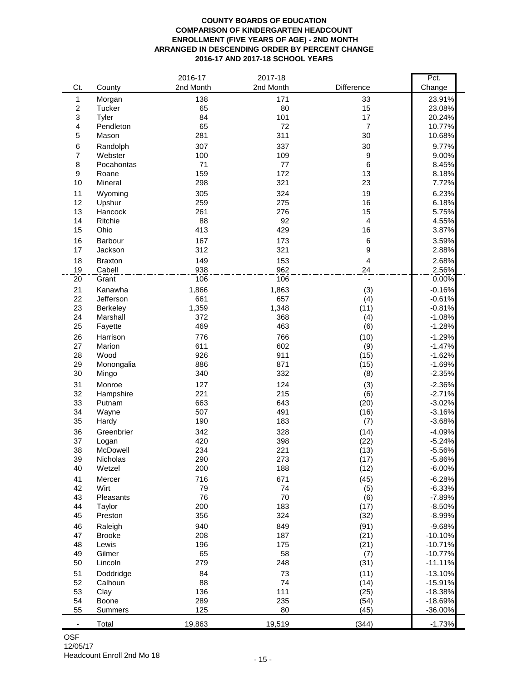#### **COUNTY BOARDS OF EDUCATION COMPARISON OF KINDERGARTEN HEADCOUNT ENROLLMENT (FIVE YEARS OF AGE) - 2ND MONTH ARRANGED IN DESCENDING ORDER BY PERCENT CHANGE 2016-17 AND 2017-18 SCHOOL YEARS**

|                  |                      | 2016-17      | 2017-18      |                                | Pct.                   |
|------------------|----------------------|--------------|--------------|--------------------------------|------------------------|
| Ct.              | County               | 2nd Month    | 2nd Month    | Difference                     | Change                 |
| 1                | Morgan               | 138          | 171          | 33                             | 23.91%                 |
| $\boldsymbol{2}$ | Tucker               | 65           | 80           | 15                             | 23.08%                 |
| 3                | Tyler                | 84           | 101          | 17                             | 20.24%                 |
| 4                | Pendleton            | 65           | 72           | $\overline{7}$                 | 10.77%                 |
| 5                | Mason                | 281          | 311          | 30                             | 10.68%                 |
| 6                | Randolph             | 307          | 337          | 30                             | 9.77%                  |
| 7                | Webster              | 100          | 109          | $\boldsymbol{9}$               | 9.00%                  |
| 8                | Pocahontas           | 71           | 77           | $\,6$                          | 8.45%                  |
| 9                | Roane                | 159          | 172          | 13                             | 8.18%                  |
| 10               | Mineral              | 298          | 321          | 23                             | 7.72%                  |
| 11               | Wyoming              | 305          | 324          | 19                             | 6.23%                  |
| 12               | Upshur               | 259          | 275          | 16                             | 6.18%                  |
| 13<br>14         | Hancock<br>Ritchie   | 261<br>88    | 276<br>92    | 15<br>$\overline{\mathbf{4}}$  | 5.75%<br>4.55%         |
| 15               | Ohio                 | 413          | 429          | 16                             | 3.87%                  |
|                  |                      |              |              |                                |                        |
| 16<br>17         | Barbour              | 167<br>312   | 173<br>321   | $\,6$<br>9                     | 3.59%<br>2.88%         |
|                  | Jackson              |              |              |                                |                        |
| 18               | <b>Braxton</b>       | 149          | 153          | $\overline{\mathbf{4}}$        | 2.68%                  |
| 19<br>20         | Cabell<br>Grant      | 938<br>106   | 962<br>106   | 24<br>$\overline{\phantom{a}}$ | 2.56%<br>0.00%         |
|                  |                      |              |              |                                |                        |
| 21<br>22         | Kanawha<br>Jefferson | 1,866<br>661 | 1,863<br>657 | (3)                            | $-0.16%$<br>$-0.61%$   |
| 23               | Berkeley             | 1,359        | 1,348        | (4)<br>(11)                    | $-0.81%$               |
| 24               | Marshall             | 372          | 368          | (4)                            | $-1.08%$               |
| 25               | Fayette              | 469          | 463          | (6)                            | $-1.28%$               |
| 26               | Harrison             | 776          | 766          | (10)                           | $-1.29%$               |
| 27               | Marion               | 611          | 602          | (9)                            | $-1.47%$               |
| 28               | Wood                 | 926          | 911          | (15)                           | $-1.62%$               |
| 29               | Monongalia           | 886          | 871          | (15)                           | $-1.69%$               |
| 30               | Mingo                | 340          | 332          | (8)                            | $-2.35%$               |
| 31               | Monroe               | 127          | 124          | (3)                            | $-2.36%$               |
| 32               | Hampshire            | 221          | 215          | (6)                            | $-2.71%$               |
| 33               | Putnam               | 663          | 643          | (20)                           | $-3.02%$               |
| 34               | Wayne                | 507          | 491          | (16)                           | $-3.16%$               |
| 35               | Hardy                | 190          | 183          | (7)                            | $-3.68%$               |
| 36               | Greenbrier           | 342          | 328          | (14)                           | $-4.09%$               |
| 37               | Logan                | 420          | 398          | (22)                           | $-5.24%$               |
| 38               | McDowell             | 234          | 221          | (13)                           | $-5.56%$               |
| 39               | Nicholas             | 290          | 273          | (17)                           | $-5.86%$               |
| 40               | Wetzel               | 200          | 188          | (12)                           | $-6.00%$               |
| 41               | Mercer               | 716          | 671          | (45)                           | $-6.28%$               |
| 42               | Wirt                 | 79           | 74           | (5)                            | $-6.33%$               |
| 43               | Pleasants            | 76           | 70           | (6)                            | $-7.89%$               |
| 44               | Taylor               | 200          | 183          | (17)                           | $-8.50%$               |
| 45               | Preston              | 356          | 324          | (32)                           | $-8.99%$               |
| 46               | Raleigh              | 940          | 849          | (91)                           | $-9.68%$               |
| 47               | <b>Brooke</b>        | 208          | 187          | (21)                           | $-10.10%$              |
| 48<br>49         | Lewis<br>Gilmer      | 196<br>65    | 175          | (21)                           | $-10.71%$              |
| 50               | Lincoln              | 279          | 58<br>248    | (7)<br>(31)                    | $-10.77%$<br>$-11.11%$ |
|                  |                      |              |              |                                |                        |
| 51               | Doddridge            | 84<br>88     | 73           | (11)                           | $-13.10%$              |
| 52<br>53         | Calhoun<br>Clay      | 136          | 74<br>111    | (14)<br>(25)                   | $-15.91%$<br>$-18.38%$ |
| 54               | Boone                | 289          | 235          | (54)                           | $-18.69%$              |
| 55               | Summers              | 125          | 80           | (45)                           | $-36.00%$              |
|                  |                      |              |              |                                |                        |
|                  | Total                | 19,863       | 19,519       | (344)                          | $-1.73%$               |